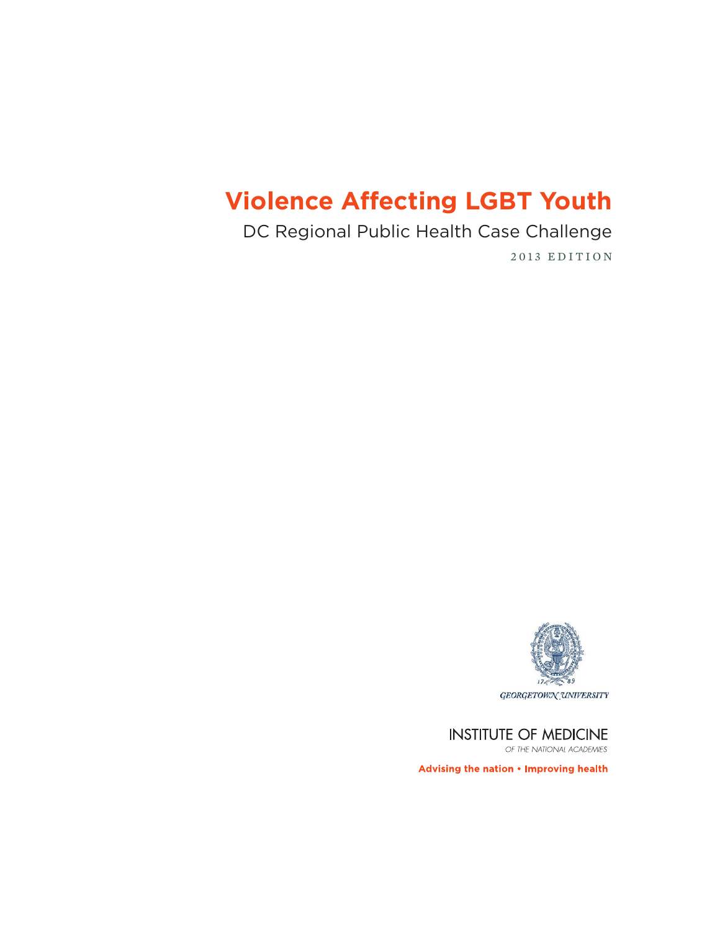# **Violence Affecting LGBT Youth**

DC Regional Public Health Case Challenge

2013 EDITION



**INSTITUTE OF MEDICINE** 

OF THE NATIONAL ACADEMIES

Advising the nation . Improving health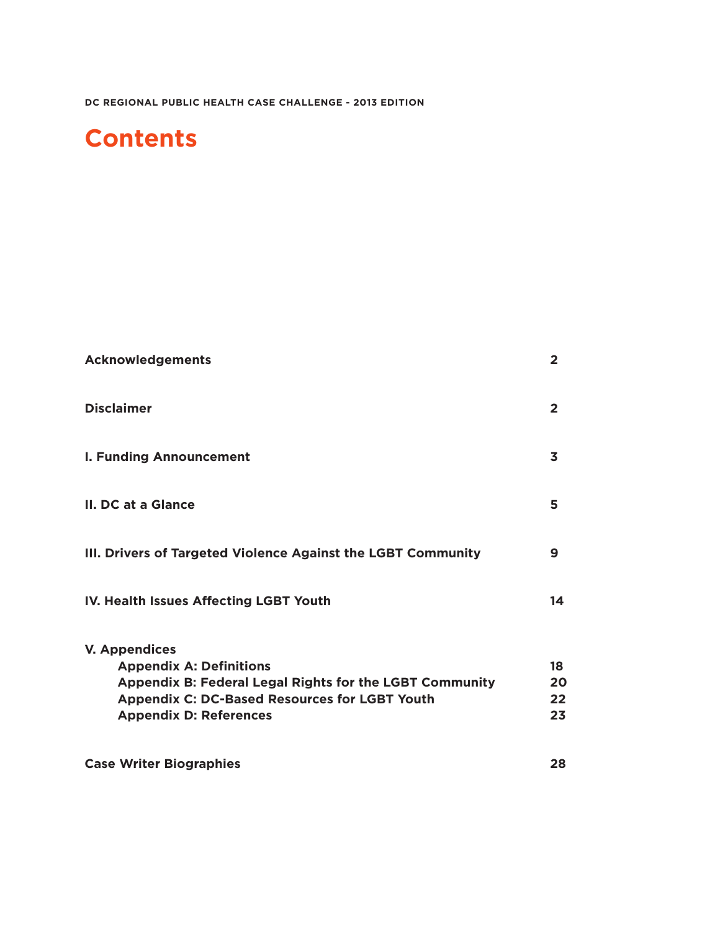# **Contents**

| <b>Acknowledgements</b>                                                                                                                                                             | $\overline{2}$                |                                                                                                                                                                                                            |                      |
|-------------------------------------------------------------------------------------------------------------------------------------------------------------------------------------|-------------------------------|------------------------------------------------------------------------------------------------------------------------------------------------------------------------------------------------------------|----------------------|
| <b>Disclaimer</b><br><b>I. Funding Announcement</b><br>II. DC at a Glance<br>III. Drivers of Targeted Violence Against the LGBT Community<br>IV. Health Issues Affecting LGBT Youth | $\overline{2}$<br>3<br>5<br>9 |                                                                                                                                                                                                            |                      |
|                                                                                                                                                                                     |                               | 14                                                                                                                                                                                                         |                      |
|                                                                                                                                                                                     |                               | <b>V. Appendices</b><br><b>Appendix A: Definitions</b><br>Appendix B: Federal Legal Rights for the LGBT Community<br><b>Appendix C: DC-Based Resources for LGBT Youth</b><br><b>Appendix D: References</b> | 18<br>20<br>22<br>23 |
|                                                                                                                                                                                     |                               | <b>Case Writer Biographies</b>                                                                                                                                                                             | 28                   |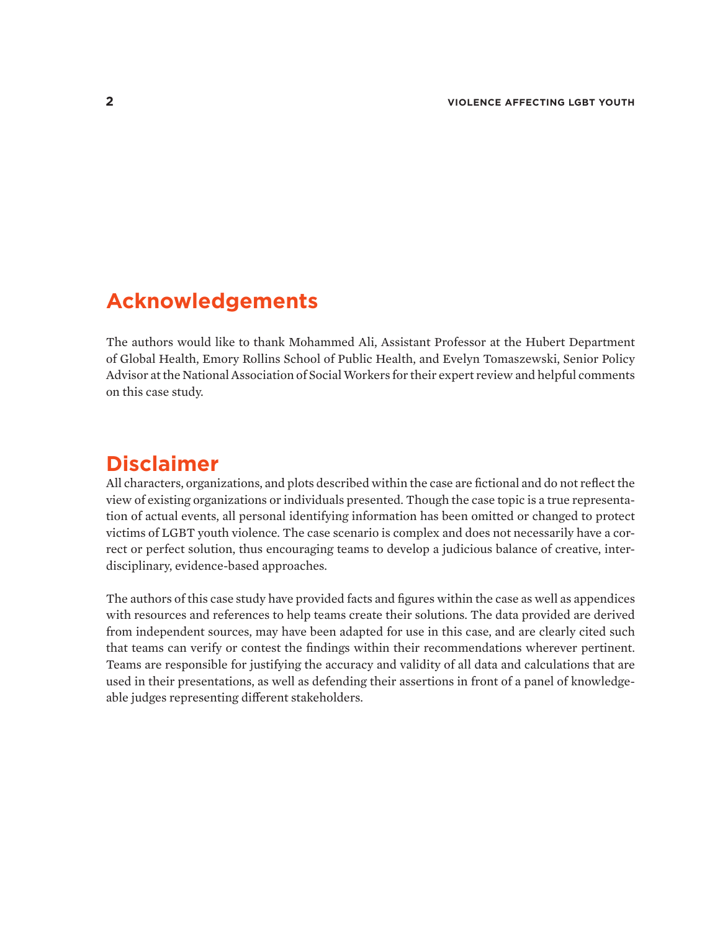## **Acknowledgements**

The authors would like to thank Mohammed Ali, Assistant Professor at the Hubert Department of Global Health, Emory Rollins School of Public Health, and Evelyn Tomaszewski, Senior Policy Advisor at the National Association of Social Workers for their expert review and helpful comments on this case study.

## **Disclaimer**

All characters, organizations, and plots described within the case are fictional and do not reflect the view of existing organizations or individuals presented. Though the case topic is a true representation of actual events, all personal identifying information has been omitted or changed to protect victims of LGBT youth violence. The case scenario is complex and does not necessarily have a correct or perfect solution, thus encouraging teams to develop a judicious balance of creative, interdisciplinary, evidence-based approaches.

The authors of this case study have provided facts and figures within the case as well as appendices with resources and references to help teams create their solutions. The data provided are derived from independent sources, may have been adapted for use in this case, and are clearly cited such that teams can verify or contest the findings within their recommendations wherever pertinent. Teams are responsible for justifying the accuracy and validity of all data and calculations that are used in their presentations, as well as defending their assertions in front of a panel of knowledgeable judges representing different stakeholders.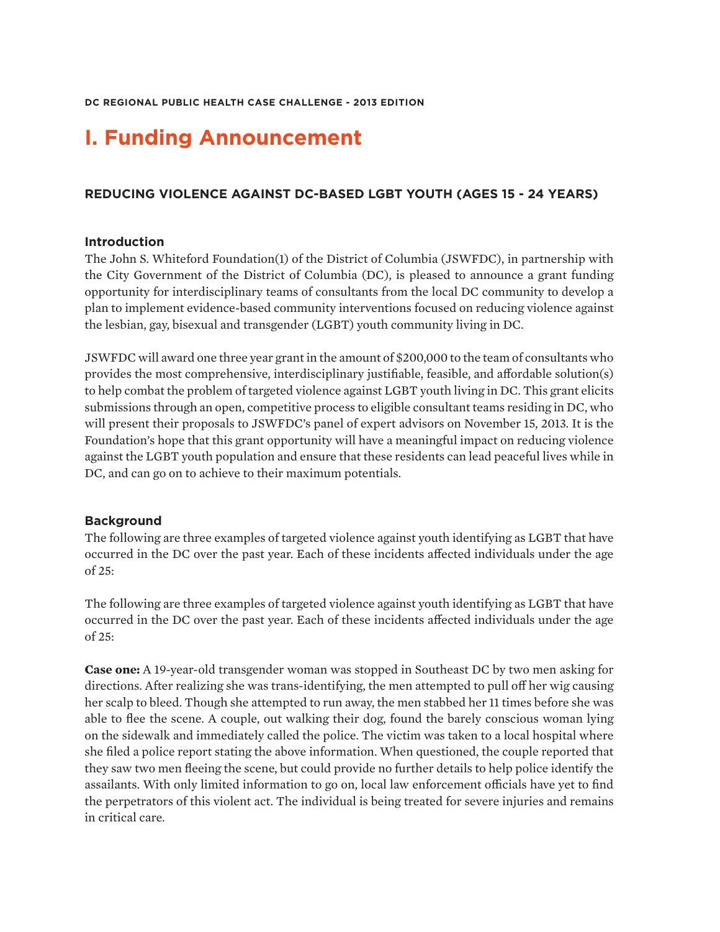## **I. Funding Announcement**

### **REDUCING VIOLENCE AGAINST DC-BASED LGBT YOUTH (AGES 15 - 24 YEARS)**

#### **Introduction**

The John S. Whiteford Foundation(1) of the District of Columbia (JSWFDC), in partnership with the City Government of the District of Columbia (DC), is pleased to announce a grant funding opportunity for interdisciplinary teams of consultants from the local DC community to develop a plan to implement evidence-based community interventions focused on reducing violence against the lesbian, gay, bisexual and transgender (LGBT) youth community living in DC.

JSWFDC will award one three year grant in the amount of \$200,000 to the team of consultants who provides the most comprehensive, interdisciplinary justifiable, feasible, and affordable solution(s) to help combat the problem of targeted violence against LGBT youth living in DC. This grant elicits submissions through an open, competitive process to eligible consultant teams residing in DC, who will present their proposals to JSWFDC's panel of expert advisors on November 15, 2013. It is the Foundation's hope that this grant opportunity will have a meaningful impact on reducing violence against the LGBT youth population and ensure that these residents can lead peaceful lives while in DC, and can go on to achieve to their maximum potentials.

#### **Background**

The following are three examples of targeted violence against youth identifying as LGBT that have occurred in the DC over the past year. Each of these incidents affected individuals under the age of 25:

The following are three examples of targeted violence against youth identifying as LGBT that have occurred in the DC over the past year. Each of these incidents affected individuals under the age of 25:

**Case one:** A 19-year-old transgender woman was stopped in Southeast DC by two men asking for directions. After realizing she was trans-identifying, the men attempted to pull off her wig causing her scalp to bleed. Though she attempted to run away, the men stabbed her 11 times before she was able to flee the scene. A couple, out walking their dog, found the barely conscious woman lying on the sidewalk and immediately called the police. The victim was taken to a local hospital where she filed a police report stating the above information. When questioned, the couple reported that they saw two men fleeing the scene, but could provide no further details to help police identify the assailants. With only limited information to go on, local law enforcement officials have yet to find the perpetrators of this violent act. The individual is being treated for severe injuries and remains in critical care.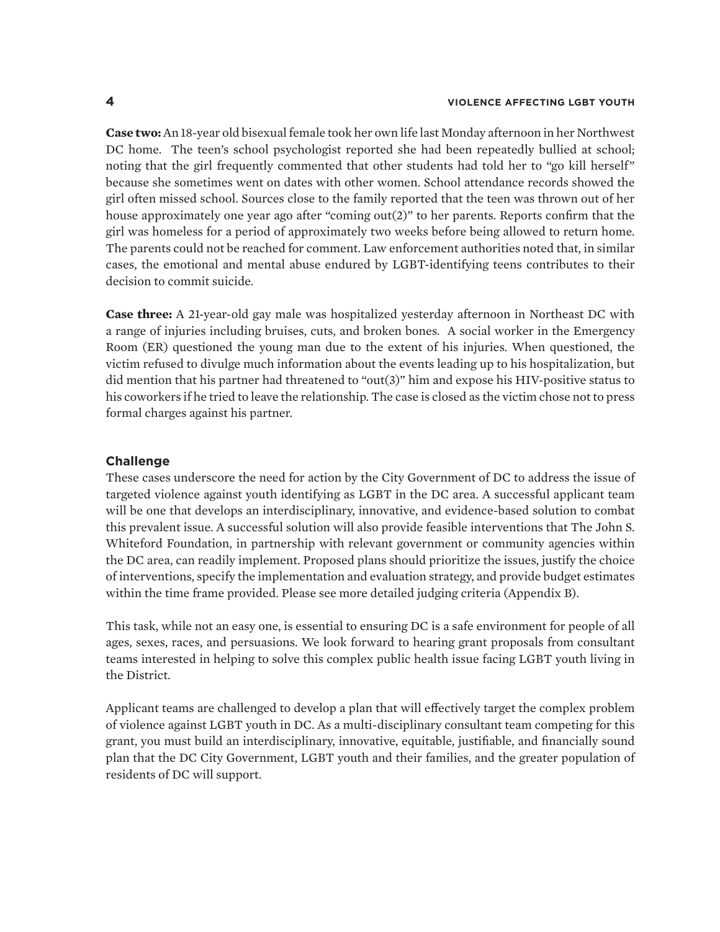**Case two:** An 18-year old bisexual female took her own life last Monday afternoon in her Northwest DC home. The teen's school psychologist reported she had been repeatedly bullied at school; noting that the girl frequently commented that other students had told her to "go kill herself" because she sometimes went on dates with other women. School attendance records showed the girl often missed school. Sources close to the family reported that the teen was thrown out of her house approximately one year ago after "coming out(2)" to her parents. Reports confirm that the girl was homeless for a period of approximately two weeks before being allowed to return home. The parents could not be reached for comment. Law enforcement authorities noted that, in similar cases, the emotional and mental abuse endured by LGBT-identifying teens contributes to their decision to commit suicide.

**Case three:** A 21-year-old gay male was hospitalized yesterday afternoon in Northeast DC with a range of injuries including bruises, cuts, and broken bones. A social worker in the Emergency Room (ER) questioned the young man due to the extent of his injuries. When questioned, the victim refused to divulge much information about the events leading up to his hospitalization, but did mention that his partner had threatened to "out(3)" him and expose his HIV-positive status to his coworkers if he tried to leave the relationship. The case is closed as the victim chose not to press formal charges against his partner.

#### **Challenge**

These cases underscore the need for action by the City Government of DC to address the issue of targeted violence against youth identifying as LGBT in the DC area. A successful applicant team will be one that develops an interdisciplinary, innovative, and evidence-based solution to combat this prevalent issue. A successful solution will also provide feasible interventions that The John S. Whiteford Foundation, in partnership with relevant government or community agencies within the DC area, can readily implement. Proposed plans should prioritize the issues, justify the choice of interventions, specify the implementation and evaluation strategy, and provide budget estimates within the time frame provided. Please see more detailed judging criteria (Appendix B).

This task, while not an easy one, is essential to ensuring DC is a safe environment for people of all ages, sexes, races, and persuasions. We look forward to hearing grant proposals from consultant teams interested in helping to solve this complex public health issue facing LGBT youth living in the District.

Applicant teams are challenged to develop a plan that will effectively target the complex problem of violence against LGBT youth in DC. As a multi-disciplinary consultant team competing for this grant, you must build an interdisciplinary, innovative, equitable, justifiable, and financially sound plan that the DC City Government, LGBT youth and their families, and the greater population of residents of DC will support.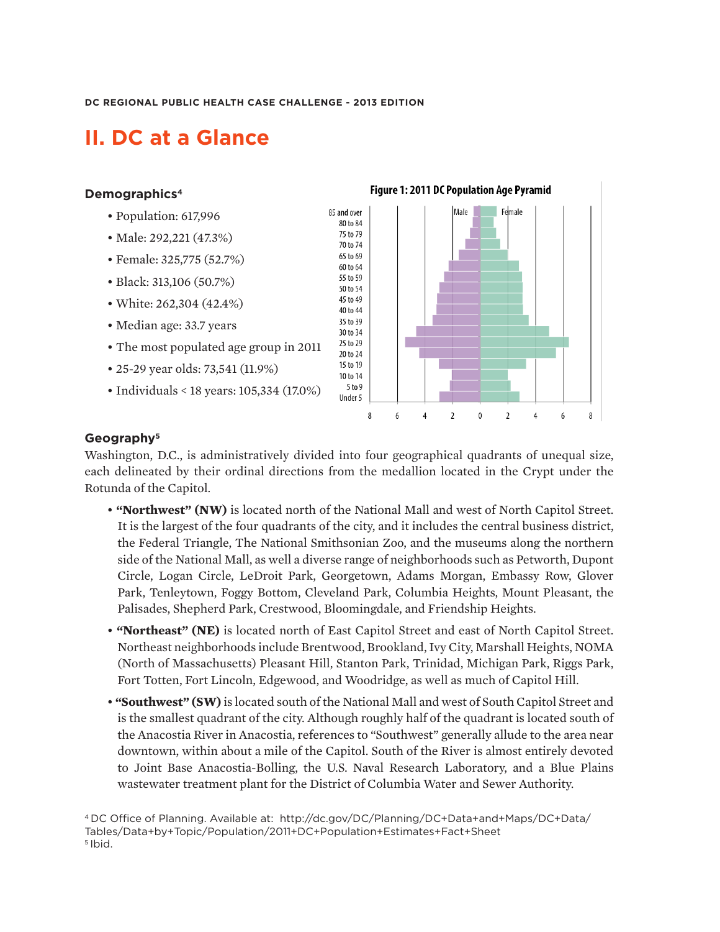## **II. DC at a Glance**

#### **Demographics4**

- Population: 617,996
- Male: 292,221 (47.3%)
- Female: 325,775 (52.7%)
- *•* Black: 313,106 (50.7%)
- White: 262,304 (42.4%)
- Median age: 33.7 years
- The most populated age group in 2011
- 25-29 year olds: 73,541 (11.9%)
- Individuals < 18 years: 105,334 (17.0%)



#### **Geography5**

Washington, D.C., is administratively divided into four geographical quadrants of unequal size, each delineated by their ordinal directions from the medallion located in the Crypt under the Rotunda of the Capitol.

- **"Northwest" (NW)** is located north of the National Mall and west of North Capitol Street. It is the largest of the four quadrants of the city, and it includes the central business district, the Federal Triangle, The National Smithsonian Zoo, and the museums along the northern side of the National Mall, as well a diverse range of neighborhoods such as Petworth, Dupont Circle, Logan Circle, LeDroit Park, Georgetown, Adams Morgan, Embassy Row, Glover Park, Tenleytown, Foggy Bottom, Cleveland Park, Columbia Heights, Mount Pleasant, the Palisades, Shepherd Park, Crestwood, Bloomingdale, and Friendship Heights.
- **"Northeast" (NE)** is located north of East Capitol Street and east of North Capitol Street. Northeast neighborhoods include Brentwood, Brookland, Ivy City, Marshall Heights, NOMA (North of Massachusetts) Pleasant Hill, Stanton Park, Trinidad, Michigan Park, Riggs Park, Fort Totten, Fort Lincoln, Edgewood, and Woodridge, as well as much of Capitol Hill.
- *•* **"Southwest" (SW)** is located south of the National Mall and west of South Capitol Street and is the smallest quadrant of the city. Although roughly half of the quadrant is located south of the Anacostia River in Anacostia, references to "Southwest" generally allude to the area near downtown, within about a mile of the Capitol. South of the River is almost entirely devoted to Joint Base Anacostia-Bolling, the U.S. Naval Research Laboratory, and a Blue Plains wastewater treatment plant for the District of Columbia Water and Sewer Authority.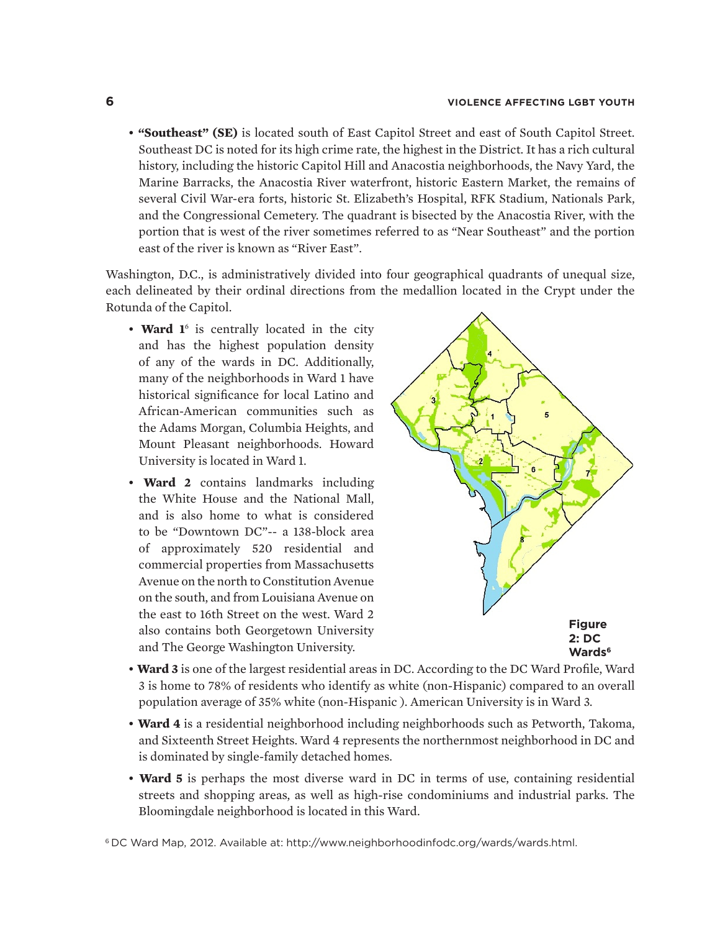*•* **"Southeast" (SE)** is located south of East Capitol Street and east of South Capitol Street. Southeast DC is noted for its high crime rate, the highest in the District. It has a rich cultural history, including the historic Capitol Hill and Anacostia neighborhoods, the Navy Yard, the Marine Barracks, the Anacostia River waterfront, historic Eastern Market, the remains of several Civil War-era forts, historic St. Elizabeth's Hospital, RFK Stadium, Nationals Park, and the Congressional Cemetery. The quadrant is bisected by the Anacostia River, with the portion that is west of the river sometimes referred to as "Near Southeast" and the portion east of the river is known as "River East".

Washington, D.C., is administratively divided into four geographical quadrants of unequal size, each delineated by their ordinal directions from the medallion located in the Crypt under the Rotunda of the Capitol.

- Ward 1<sup>6</sup> is centrally located in the city and has the highest population density of any of the wards in DC. Additionally, many of the neighborhoods in Ward 1 have historical significance for local Latino and African-American communities such as the Adams Morgan, Columbia Heights, and Mount Pleasant neighborhoods. Howard University is located in Ward 1.
- **Ward 2** contains landmarks including the White House and the National Mall, and is also home to what is considered to be "Downtown DC"-- a 138-block area of approximately 520 residential and commercial properties from Massachusetts Avenue on the north to Constitution Avenue on the south, and from Louisiana Avenue on the east to 16th Street on the west. Ward 2 also contains both Georgetown University and The George Washington University.



- **Ward 3** is one of the largest residential areas in DC. According to the DC Ward Profile, Ward 3 is home to 78% of residents who identify as white (non-Hispanic) compared to an overall population average of 35% white (non-Hispanic ). American University is in Ward 3.
- **Ward 4** is a residential neighborhood including neighborhoods such as Petworth, Takoma, and Sixteenth Street Heights. Ward 4 represents the northernmost neighborhood in DC and is dominated by single-family detached homes.
- **Ward 5** is perhaps the most diverse ward in DC in terms of use, containing residential streets and shopping areas, as well as high-rise condominiums and industrial parks. The Bloomingdale neighborhood is located in this Ward.

6 DC Ward Map, 2012. Available at: http://www.neighborhoodinfodc.org/wards/wards.html.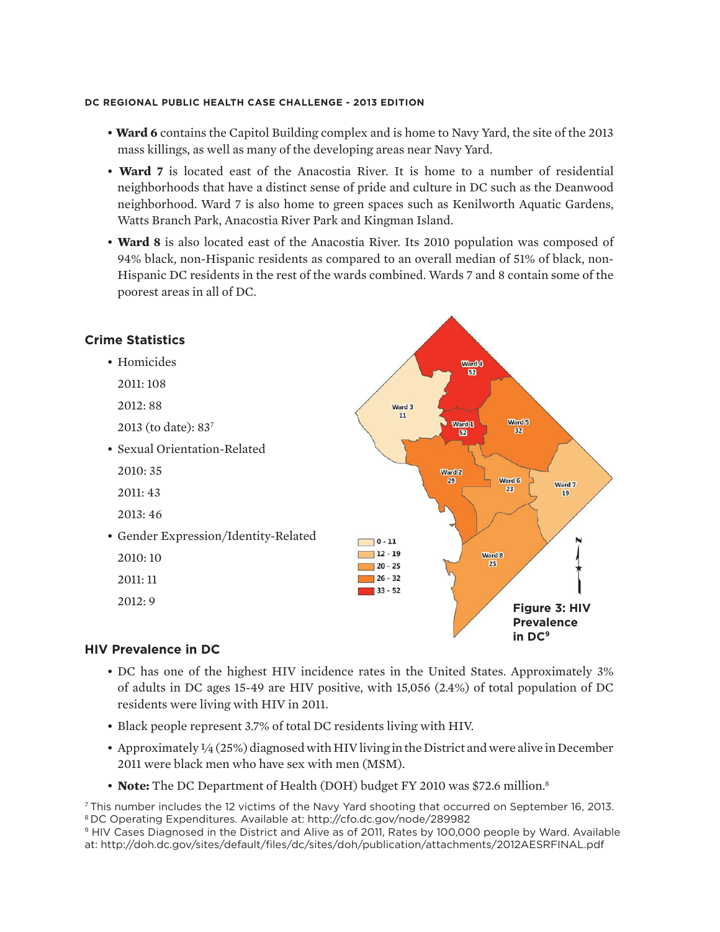- **Ward 6** contains the Capitol Building complex and is home to Navy Yard, the site of the 2013 mass killings, as well as many of the developing areas near Navy Yard.
- **Ward 7** is located east of the Anacostia River. It is home to a number of residential neighborhoods that have a distinct sense of pride and culture in DC such as the Deanwood neighborhood. Ward 7 is also home to green spaces such as Kenilworth Aquatic Gardens, Watts Branch Park, Anacostia River Park and Kingman Island.
- **Ward 8** is also located east of the Anacostia River. Its 2010 population was composed of 94% black, non-Hispanic residents as compared to an overall median of 51% of black, non-Hispanic DC residents in the rest of the wards combined. Wards 7 and 8 contain some of the poorest areas in all of DC.



#### **HIV Prevalence in DC**

- DC has one of the highest HIV incidence rates in the United States. Approximately 3% of adults in DC ages 15-49 are HIV positive, with 15,056 (2.4%) of total population of DC residents were living with HIV in 2011.
- Black people represent 3.7% of total DC residents living with HIV.
- Approximately  $\frac{1}{4}$  (25%) diagnosed with HIV living in the District and were alive in December 2011 were black men who have sex with men (MSM).
- **Note:** The DC Department of Health (DOH) budget FY 2010 was \$72.6 million.<sup>8</sup>

7 This number includes the 12 victims of the Navy Yard shooting that occurred on September 16, 2013. 8 DC Operating Expenditures. Available at: http://cfo.dc.gov/node/289982

<sup>9</sup> HIV Cases Diagnosed in the District and Alive as of 2011, Rates by 100,000 people by Ward. Available at: http://doh.dc.gov/sites/default/files/dc/sites/doh/publication/attachments/2012AESRFINAL.pdf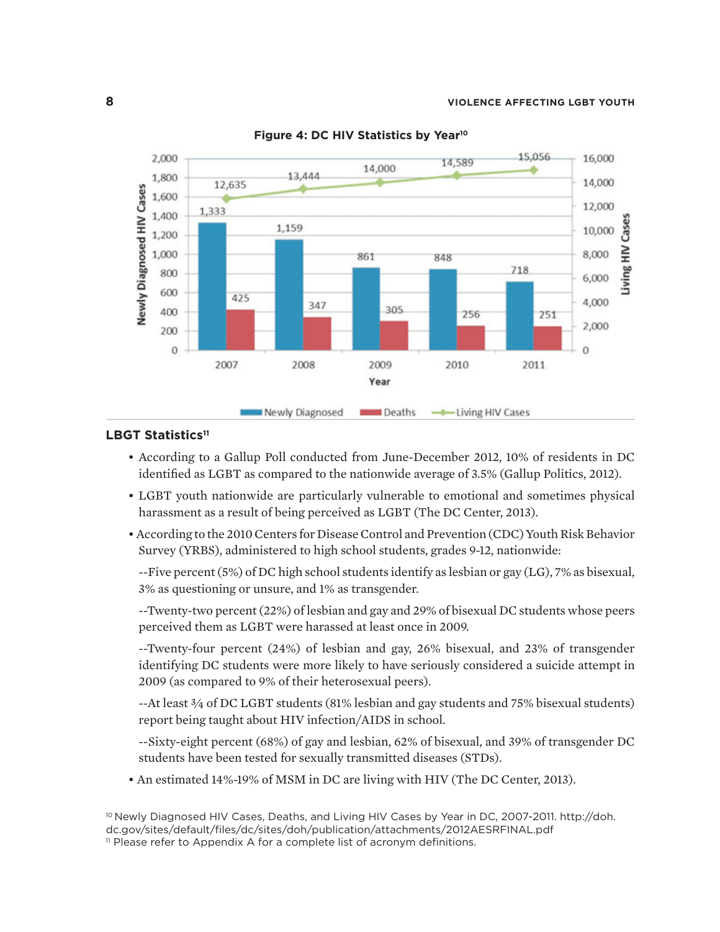

**Figure 4: DC HIV Statistics by Year10**

#### LBGT Statistics<sup>11</sup>

- According to a Gallup Poll conducted from June-December 2012, 10% of residents in DC identified as LGBT as compared to the nationwide average of 3.5% (Gallup Politics, 2012).
- LGBT youth nationwide are particularly vulnerable to emotional and sometimes physical harassment as a result of being perceived as LGBT (The DC Center, 2013).
- According to the 2010 Centers for Disease Control and Prevention (CDC) Youth Risk Behavior Survey (YRBS), administered to high school students, grades 9-12, nationwide:

--Five percent (5%) of DC high school students identify as lesbian or gay (LG), 7% as bisexual, 3% as questioning or unsure, and 1% as transgender.

--Twenty-two percent (22%) of lesbian and gay and 29% of bisexual DC students whose peers perceived them as LGBT were harassed at least once in 2009.

--Twenty-four percent (24%) of lesbian and gay, 26% bisexual, and 23% of transgender identifying DC students were more likely to have seriously considered a suicide attempt in 2009 (as compared to 9% of their heterosexual peers).

--At least ¾ of DC LGBT students (81% lesbian and gay students and 75% bisexual students) report being taught about HIV infection/AIDS in school.

--Sixty-eight percent (68%) of gay and lesbian, 62% of bisexual, and 39% of transgender DC students have been tested for sexually transmitted diseases (STDs).

• An estimated 14%-19% of MSM in DC are living with HIV (The DC Center, 2013).

<sup>&</sup>lt;sup>10</sup> Newly Diagnosed HIV Cases, Deaths, and Living HIV Cases by Year in DC, 2007-2011. http://doh. dc.gov/sites/default/files/dc/sites/doh/publication/attachments/2012AESRFINAL.pdf

<sup>&</sup>lt;sup>11</sup> Please refer to Appendix A for a complete list of acronym definitions.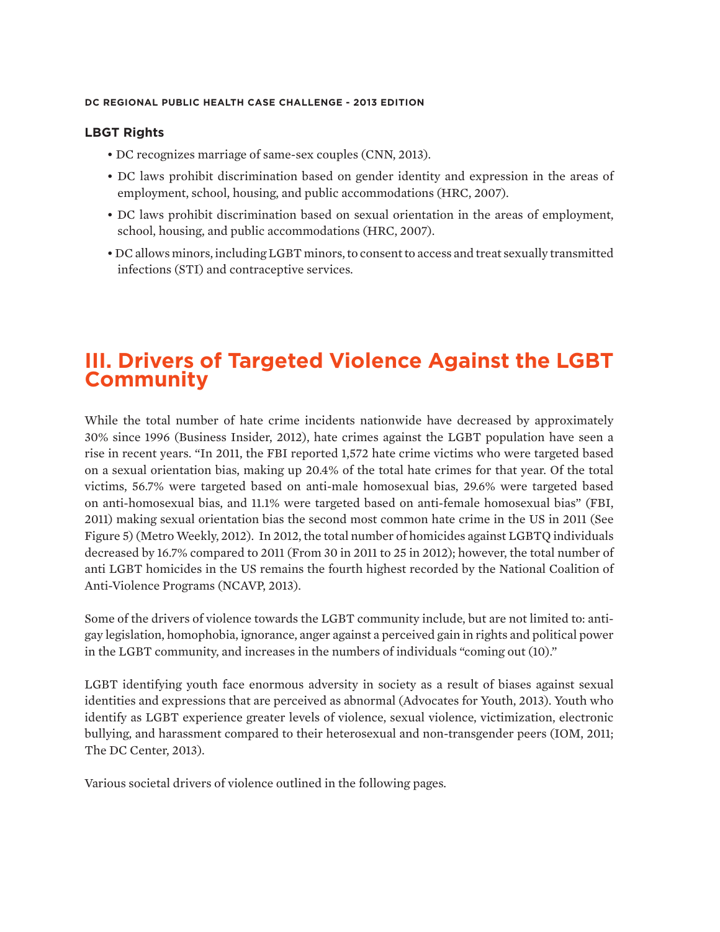#### **LBGT Rights**

- DC recognizes marriage of same-sex couples (CNN, 2013).
- DC laws prohibit discrimination based on gender identity and expression in the areas of employment, school, housing, and public accommodations (HRC, 2007).
- DC laws prohibit discrimination based on sexual orientation in the areas of employment, school, housing, and public accommodations (HRC, 2007).
- DC allows minors, including LGBT minors, to consent to access and treat sexually transmitted infections (STI) and contraceptive services.

## **III. Drivers of Targeted Violence Against the LGBT Community**

While the total number of hate crime incidents nationwide have decreased by approximately 30% since 1996 (Business Insider, 2012), hate crimes against the LGBT population have seen a rise in recent years. "In 2011, the FBI reported 1,572 hate crime victims who were targeted based on a sexual orientation bias, making up 20.4% of the total hate crimes for that year. Of the total victims, 56.7% were targeted based on anti-male homosexual bias, 29.6% were targeted based on anti-homosexual bias, and 11.1% were targeted based on anti-female homosexual bias" (FBI, 2011) making sexual orientation bias the second most common hate crime in the US in 2011 (See Figure 5) (Metro Weekly, 2012). In 2012, the total number of homicides against LGBTQ individuals decreased by 16.7% compared to 2011 (From 30 in 2011 to 25 in 2012); however, the total number of anti LGBT homicides in the US remains the fourth highest recorded by the National Coalition of Anti-Violence Programs (NCAVP, 2013).

Some of the drivers of violence towards the LGBT community include, but are not limited to: antigay legislation, homophobia, ignorance, anger against a perceived gain in rights and political power in the LGBT community, and increases in the numbers of individuals "coming out (10)."

LGBT identifying youth face enormous adversity in society as a result of biases against sexual identities and expressions that are perceived as abnormal (Advocates for Youth, 2013). Youth who identify as LGBT experience greater levels of violence, sexual violence, victimization, electronic bullying, and harassment compared to their heterosexual and non-transgender peers (IOM, 2011; The DC Center, 2013).

Various societal drivers of violence outlined in the following pages.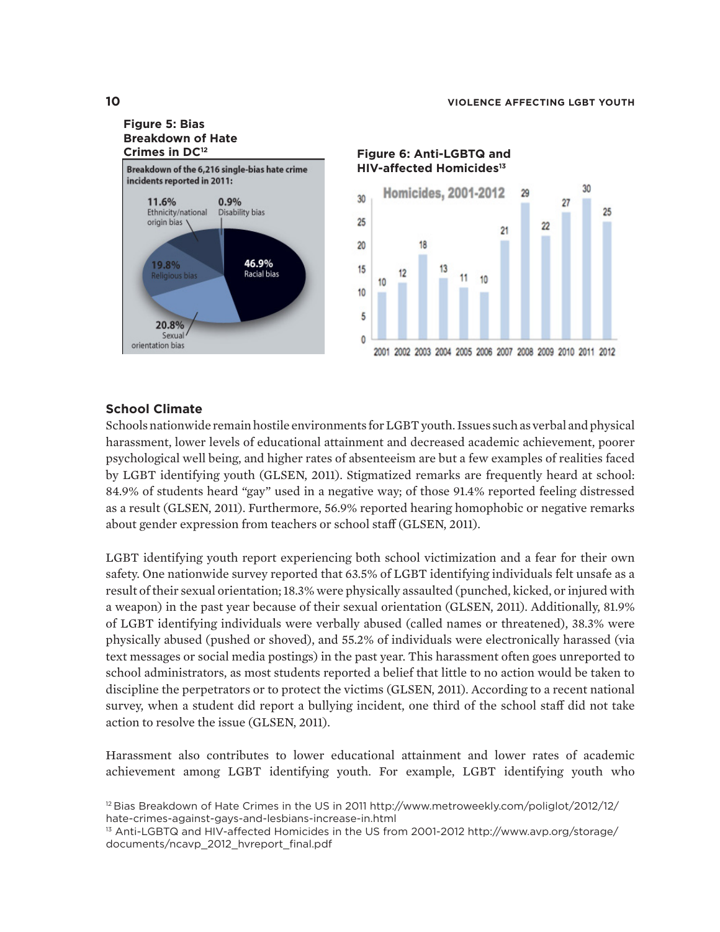

**HIV-affected Homicides13**



#### **School Climate**

Schools nationwide remain hostile environments for LGBT youth. Issues such as verbal and physical harassment, lower levels of educational attainment and decreased academic achievement, poorer psychological well being, and higher rates of absenteeism are but a few examples of realities faced by LGBT identifying youth (GLSEN, 2011). Stigmatized remarks are frequently heard at school: 84.9% of students heard "gay" used in a negative way; of those 91.4% reported feeling distressed as a result (GLSEN, 2011). Furthermore, 56.9% reported hearing homophobic or negative remarks about gender expression from teachers or school staff (GLSEN, 2011).

LGBT identifying youth report experiencing both school victimization and a fear for their own safety. One nationwide survey reported that 63.5% of LGBT identifying individuals felt unsafe as a result of their sexual orientation; 18.3% were physically assaulted (punched, kicked, or injured with a weapon) in the past year because of their sexual orientation (GLSEN, 2011). Additionally, 81.9% of LGBT identifying individuals were verbally abused (called names or threatened), 38.3% were physically abused (pushed or shoved), and 55.2% of individuals were electronically harassed (via text messages or social media postings) in the past year. This harassment often goes unreported to school administrators, as most students reported a belief that little to no action would be taken to discipline the perpetrators or to protect the victims (GLSEN, 2011). According to a recent national survey, when a student did report a bullying incident, one third of the school staff did not take action to resolve the issue (GLSEN, 2011).

Harassment also contributes to lower educational attainment and lower rates of academic achievement among LGBT identifying youth. For example, LGBT identifying youth who

<sup>&</sup>lt;sup>12</sup> Bias Breakdown of Hate Crimes in the US in 2011 http://www.metroweekly.com/poliglot/2012/12/ hate-crimes-against-gays-and-lesbians-increase-in.html

<sup>&</sup>lt;sup>13</sup> Anti-LGBTQ and HIV-affected Homicides in the US from 2001-2012 http://www.avp.org/storage/ documents/ncavp\_2012\_hvreport\_final.pdf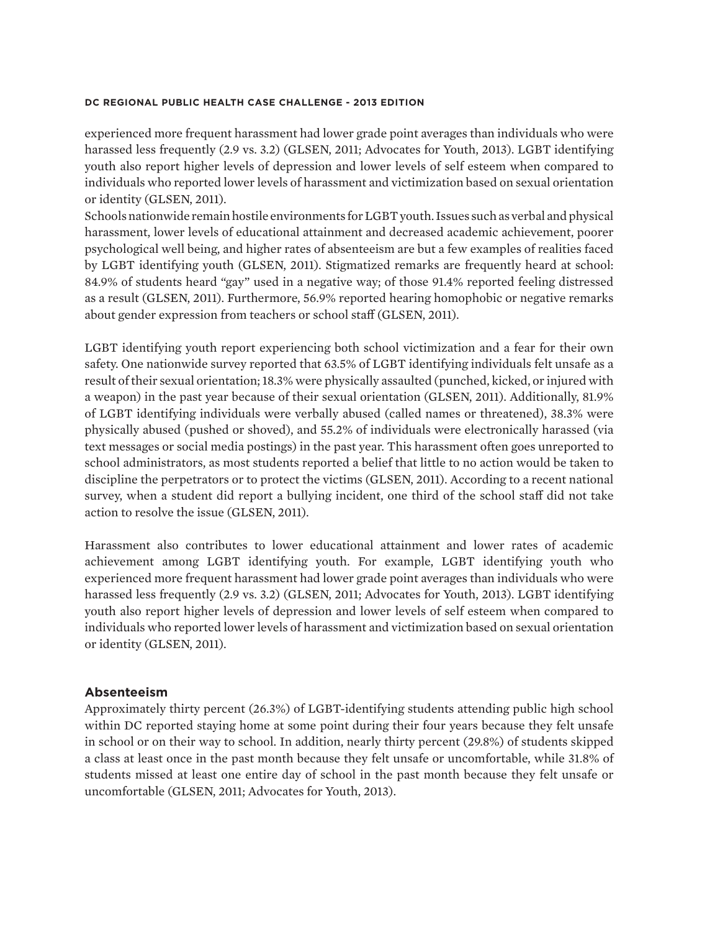experienced more frequent harassment had lower grade point averages than individuals who were harassed less frequently (2.9 vs. 3.2) (GLSEN, 2011; Advocates for Youth, 2013). LGBT identifying youth also report higher levels of depression and lower levels of self esteem when compared to individuals who reported lower levels of harassment and victimization based on sexual orientation or identity (GLSEN, 2011).

Schools nationwide remain hostile environments for LGBT youth. Issues such as verbal and physical harassment, lower levels of educational attainment and decreased academic achievement, poorer psychological well being, and higher rates of absenteeism are but a few examples of realities faced by LGBT identifying youth (GLSEN, 2011). Stigmatized remarks are frequently heard at school: 84.9% of students heard "gay" used in a negative way; of those 91.4% reported feeling distressed as a result (GLSEN, 2011). Furthermore, 56.9% reported hearing homophobic or negative remarks about gender expression from teachers or school staff (GLSEN, 2011).

LGBT identifying youth report experiencing both school victimization and a fear for their own safety. One nationwide survey reported that 63.5% of LGBT identifying individuals felt unsafe as a result of their sexual orientation; 18.3% were physically assaulted (punched, kicked, or injured with a weapon) in the past year because of their sexual orientation (GLSEN, 2011). Additionally, 81.9% of LGBT identifying individuals were verbally abused (called names or threatened), 38.3% were physically abused (pushed or shoved), and 55.2% of individuals were electronically harassed (via text messages or social media postings) in the past year. This harassment often goes unreported to school administrators, as most students reported a belief that little to no action would be taken to discipline the perpetrators or to protect the victims (GLSEN, 2011). According to a recent national survey, when a student did report a bullying incident, one third of the school staff did not take action to resolve the issue (GLSEN, 2011).

Harassment also contributes to lower educational attainment and lower rates of academic achievement among LGBT identifying youth. For example, LGBT identifying youth who experienced more frequent harassment had lower grade point averages than individuals who were harassed less frequently (2.9 vs. 3.2) (GLSEN, 2011; Advocates for Youth, 2013). LGBT identifying youth also report higher levels of depression and lower levels of self esteem when compared to individuals who reported lower levels of harassment and victimization based on sexual orientation or identity (GLSEN, 2011).

#### **Absenteeism**

Approximately thirty percent (26.3%) of LGBT-identifying students attending public high school within DC reported staying home at some point during their four years because they felt unsafe in school or on their way to school. In addition, nearly thirty percent (29.8%) of students skipped a class at least once in the past month because they felt unsafe or uncomfortable, while 31.8% of students missed at least one entire day of school in the past month because they felt unsafe or uncomfortable (GLSEN, 2011; Advocates for Youth, 2013).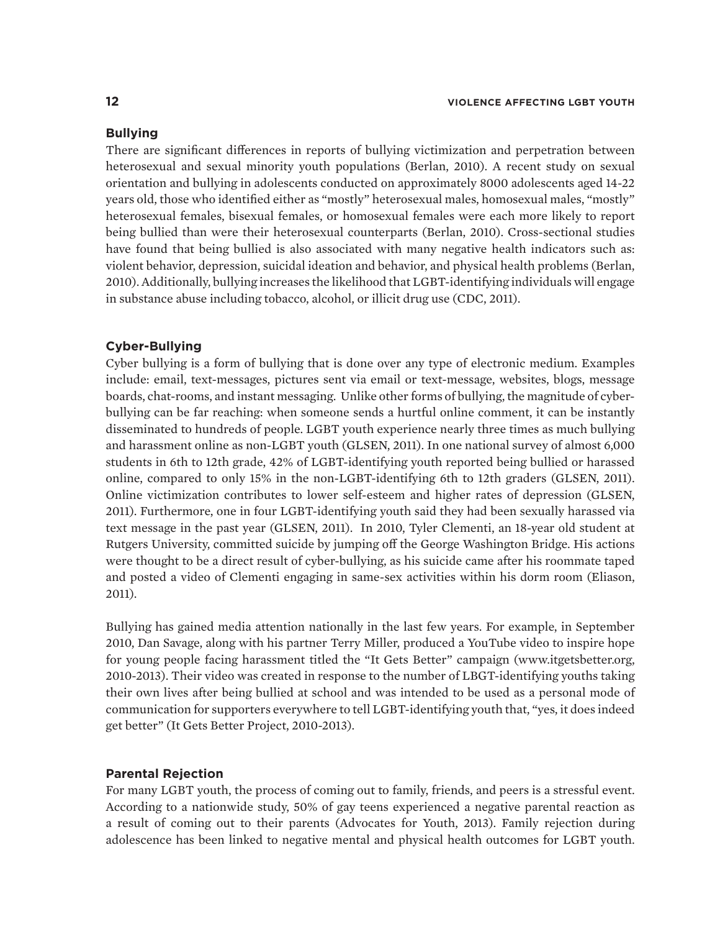#### **Bullying**

There are significant differences in reports of bullying victimization and perpetration between heterosexual and sexual minority youth populations (Berlan, 2010). A recent study on sexual orientation and bullying in adolescents conducted on approximately 8000 adolescents aged 14-22 years old, those who identified either as "mostly" heterosexual males, homosexual males, "mostly" heterosexual females, bisexual females, or homosexual females were each more likely to report being bullied than were their heterosexual counterparts (Berlan, 2010). Cross-sectional studies have found that being bullied is also associated with many negative health indicators such as: violent behavior, depression, suicidal ideation and behavior, and physical health problems (Berlan, 2010). Additionally, bullying increases the likelihood that LGBT-identifying individuals will engage in substance abuse including tobacco, alcohol, or illicit drug use (CDC, 2011).

#### **Cyber-Bullying**

Cyber bullying is a form of bullying that is done over any type of electronic medium. Examples include: email, text-messages, pictures sent via email or text-message, websites, blogs, message boards, chat-rooms, and instant messaging. Unlike other forms of bullying, the magnitude of cyberbullying can be far reaching: when someone sends a hurtful online comment, it can be instantly disseminated to hundreds of people. LGBT youth experience nearly three times as much bullying and harassment online as non-LGBT youth (GLSEN, 2011). In one national survey of almost 6,000 students in 6th to 12th grade, 42% of LGBT-identifying youth reported being bullied or harassed online, compared to only 15% in the non-LGBT-identifying 6th to 12th graders (GLSEN, 2011). Online victimization contributes to lower self-esteem and higher rates of depression (GLSEN, 2011). Furthermore, one in four LGBT-identifying youth said they had been sexually harassed via text message in the past year (GLSEN, 2011). In 2010, Tyler Clementi, an 18-year old student at Rutgers University, committed suicide by jumping off the George Washington Bridge. His actions were thought to be a direct result of cyber-bullying, as his suicide came after his roommate taped and posted a video of Clementi engaging in same-sex activities within his dorm room (Eliason, 2011).

Bullying has gained media attention nationally in the last few years. For example, in September 2010, Dan Savage, along with his partner Terry Miller, produced a YouTube video to inspire hope for young people facing harassment titled the "It Gets Better" campaign (www.itgetsbetter.org, 2010-2013). Their video was created in response to the number of LBGT-identifying youths taking their own lives after being bullied at school and was intended to be used as a personal mode of communication for supporters everywhere to tell LGBT-identifying youth that, "yes, it does indeed get better" (It Gets Better Project, 2010-2013).

#### **Parental Rejection**

For many LGBT youth, the process of coming out to family, friends, and peers is a stressful event. According to a nationwide study, 50% of gay teens experienced a negative parental reaction as a result of coming out to their parents (Advocates for Youth, 2013). Family rejection during adolescence has been linked to negative mental and physical health outcomes for LGBT youth.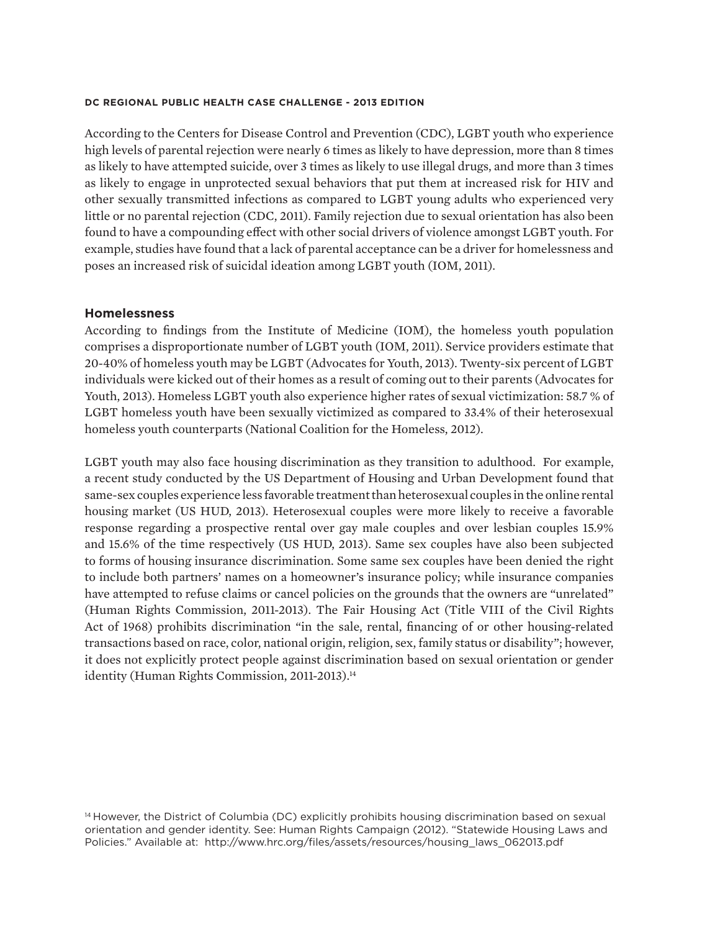According to the Centers for Disease Control and Prevention (CDC), LGBT youth who experience high levels of parental rejection were nearly 6 times as likely to have depression, more than 8 times as likely to have attempted suicide, over 3 times as likely to use illegal drugs, and more than 3 times as likely to engage in unprotected sexual behaviors that put them at increased risk for HIV and other sexually transmitted infections as compared to LGBT young adults who experienced very little or no parental rejection (CDC, 2011). Family rejection due to sexual orientation has also been found to have a compounding effect with other social drivers of violence amongst LGBT youth. For example, studies have found that a lack of parental acceptance can be a driver for homelessness and poses an increased risk of suicidal ideation among LGBT youth (IOM, 2011).

#### **Homelessness**

According to findings from the Institute of Medicine (IOM), the homeless youth population comprises a disproportionate number of LGBT youth (IOM, 2011). Service providers estimate that 20-40% of homeless youth may be LGBT (Advocates for Youth, 2013). Twenty-six percent of LGBT individuals were kicked out of their homes as a result of coming out to their parents (Advocates for Youth, 2013). Homeless LGBT youth also experience higher rates of sexual victimization: 58.7 % of LGBT homeless youth have been sexually victimized as compared to 33.4% of their heterosexual homeless youth counterparts (National Coalition for the Homeless, 2012).

LGBT youth may also face housing discrimination as they transition to adulthood. For example, a recent study conducted by the US Department of Housing and Urban Development found that same-sex couples experience less favorable treatment than heterosexual couples in the online rental housing market (US HUD, 2013). Heterosexual couples were more likely to receive a favorable response regarding a prospective rental over gay male couples and over lesbian couples 15.9% and 15.6% of the time respectively (US HUD, 2013). Same sex couples have also been subjected to forms of housing insurance discrimination. Some same sex couples have been denied the right to include both partners' names on a homeowner's insurance policy; while insurance companies have attempted to refuse claims or cancel policies on the grounds that the owners are "unrelated" (Human Rights Commission, 2011-2013). The Fair Housing Act (Title VIII of the Civil Rights Act of 1968) prohibits discrimination "in the sale, rental, financing of or other housing-related transactions based on race, color, national origin, religion, sex, family status or disability"; however, it does not explicitly protect people against discrimination based on sexual orientation or gender identity (Human Rights Commission, 2011-2013).<sup>14</sup>

<sup>14</sup> However, the District of Columbia (DC) explicitly prohibits housing discrimination based on sexual orientation and gender identity. See: Human Rights Campaign (2012). "Statewide Housing Laws and Policies." Available at: http://www.hrc.org/files/assets/resources/housing\_laws\_062013.pdf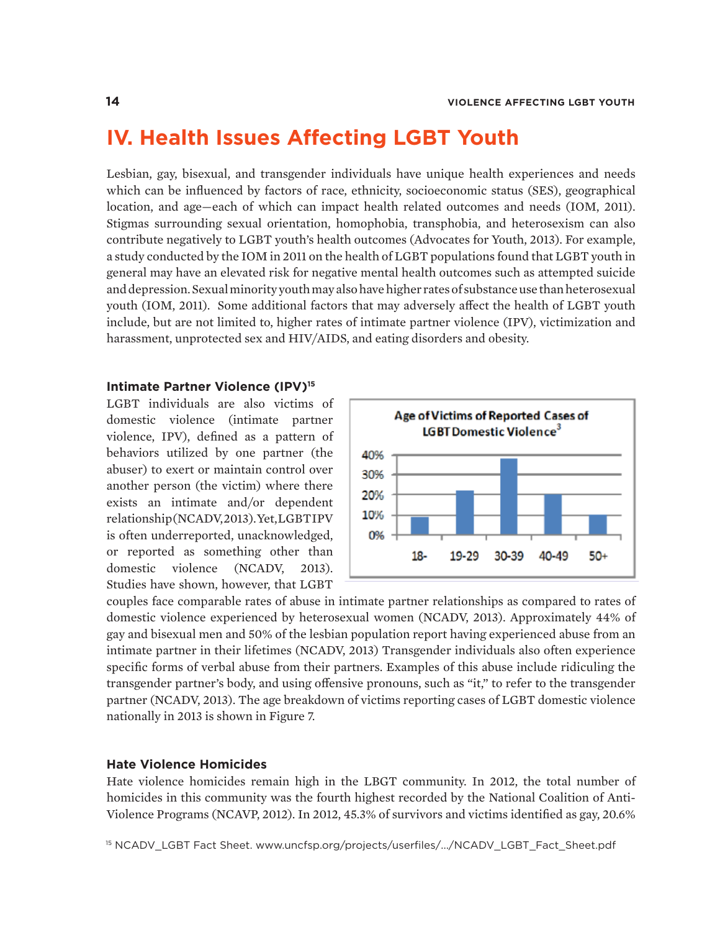## **IV. Health Issues Affecting LGBT Youth**

Lesbian, gay, bisexual, and transgender individuals have unique health experiences and needs which can be influenced by factors of race, ethnicity, socioeconomic status (SES), geographical location, and age—each of which can impact health related outcomes and needs (IOM, 2011). Stigmas surrounding sexual orientation, homophobia, transphobia, and heterosexism can also contribute negatively to LGBT youth's health outcomes (Advocates for Youth, 2013). For example, a study conducted by the IOM in 2011 on the health of LGBT populations found that LGBT youth in general may have an elevated risk for negative mental health outcomes such as attempted suicide and depression. Sexual minority youth may also have higher rates of substance use than heterosexual youth (IOM, 2011). Some additional factors that may adversely affect the health of LGBT youth include, but are not limited to, higher rates of intimate partner violence (IPV), victimization and harassment, unprotected sex and HIV/AIDS, and eating disorders and obesity.

#### **Intimate Partner Violence (IPV)<sup>15</sup>**

LGBT individuals are also victims of domestic violence (intimate partner violence, IPV), defined as a pattern of behaviors utilized by one partner (the abuser) to exert or maintain control over another person (the victim) where there exists an intimate and/or dependent relationship (NCADV, 2013). Yet, LGBT IPV is often underreported, unacknowledged, or reported as something other than domestic violence (NCADV, 2013). Studies have shown, however, that LGBT



couples face comparable rates of abuse in intimate partner relationships as compared to rates of domestic violence experienced by heterosexual women (NCADV, 2013). Approximately 44% of gay and bisexual men and 50% of the lesbian population report having experienced abuse from an intimate partner in their lifetimes (NCADV, 2013) Transgender individuals also often experience specific forms of verbal abuse from their partners. Examples of this abuse include ridiculing the transgender partner's body, and using offensive pronouns, such as "it," to refer to the transgender partner (NCADV, 2013). The age breakdown of victims reporting cases of LGBT domestic violence nationally in 2013 is shown in Figure 7.

#### **Hate Violence Homicides**

Hate violence homicides remain high in the LBGT community. In 2012, the total number of homicides in this community was the fourth highest recorded by the National Coalition of Anti-Violence Programs (NCAVP, 2012). In 2012, 45.3% of survivors and victims identified as gay, 20.6%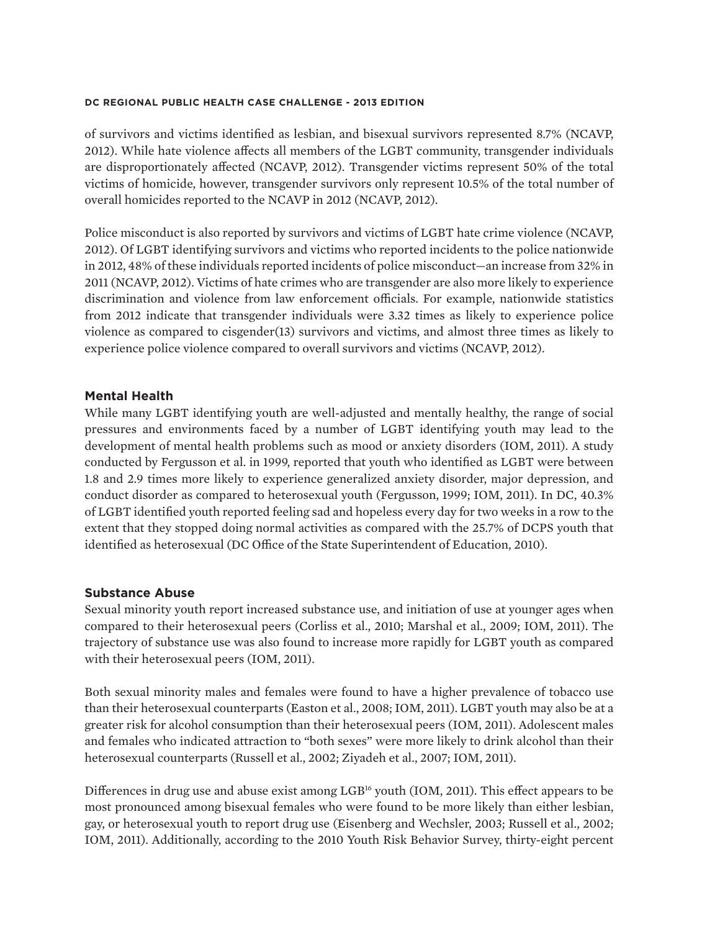of survivors and victims identified as lesbian, and bisexual survivors represented 8.7% (NCAVP, 2012). While hate violence affects all members of the LGBT community, transgender individuals are disproportionately affected (NCAVP, 2012). Transgender victims represent 50% of the total victims of homicide, however, transgender survivors only represent 10.5% of the total number of overall homicides reported to the NCAVP in 2012 (NCAVP, 2012).

Police misconduct is also reported by survivors and victims of LGBT hate crime violence (NCAVP, 2012). Of LGBT identifying survivors and victims who reported incidents to the police nationwide in 2012, 48% of these individuals reported incidents of police misconduct—an increase from 32% in 2011 (NCAVP, 2012). Victims of hate crimes who are transgender are also more likely to experience discrimination and violence from law enforcement officials. For example, nationwide statistics from 2012 indicate that transgender individuals were 3.32 times as likely to experience police violence as compared to cisgender(13) survivors and victims, and almost three times as likely to experience police violence compared to overall survivors and victims (NCAVP, 2012).

#### **Mental Health**

While many LGBT identifying youth are well-adjusted and mentally healthy, the range of social pressures and environments faced by a number of LGBT identifying youth may lead to the development of mental health problems such as mood or anxiety disorders (IOM, 2011). A study conducted by Fergusson et al. in 1999, reported that youth who identified as LGBT were between 1.8 and 2.9 times more likely to experience generalized anxiety disorder, major depression, and conduct disorder as compared to heterosexual youth (Fergusson, 1999; IOM, 2011). In DC, 40.3% of LGBT identified youth reported feeling sad and hopeless every day for two weeks in a row to the extent that they stopped doing normal activities as compared with the 25.7% of DCPS youth that identified as heterosexual (DC Office of the State Superintendent of Education, 2010).

#### **Substance Abuse**

Sexual minority youth report increased substance use, and initiation of use at younger ages when compared to their heterosexual peers (Corliss et al., 2010; Marshal et al., 2009; IOM, 2011). The trajectory of substance use was also found to increase more rapidly for LGBT youth as compared with their heterosexual peers (IOM, 2011).

Both sexual minority males and females were found to have a higher prevalence of tobacco use than their heterosexual counterparts (Easton et al., 2008; IOM, 2011). LGBT youth may also be at a greater risk for alcohol consumption than their heterosexual peers (IOM, 2011). Adolescent males and females who indicated attraction to "both sexes" were more likely to drink alcohol than their heterosexual counterparts (Russell et al., 2002; Ziyadeh et al., 2007; IOM, 2011).

Differences in drug use and abuse exist among LGB<sup>16</sup> youth (IOM, 2011). This effect appears to be most pronounced among bisexual females who were found to be more likely than either lesbian, gay, or heterosexual youth to report drug use (Eisenberg and Wechsler, 2003; Russell et al., 2002; IOM, 2011). Additionally, according to the 2010 Youth Risk Behavior Survey, thirty-eight percent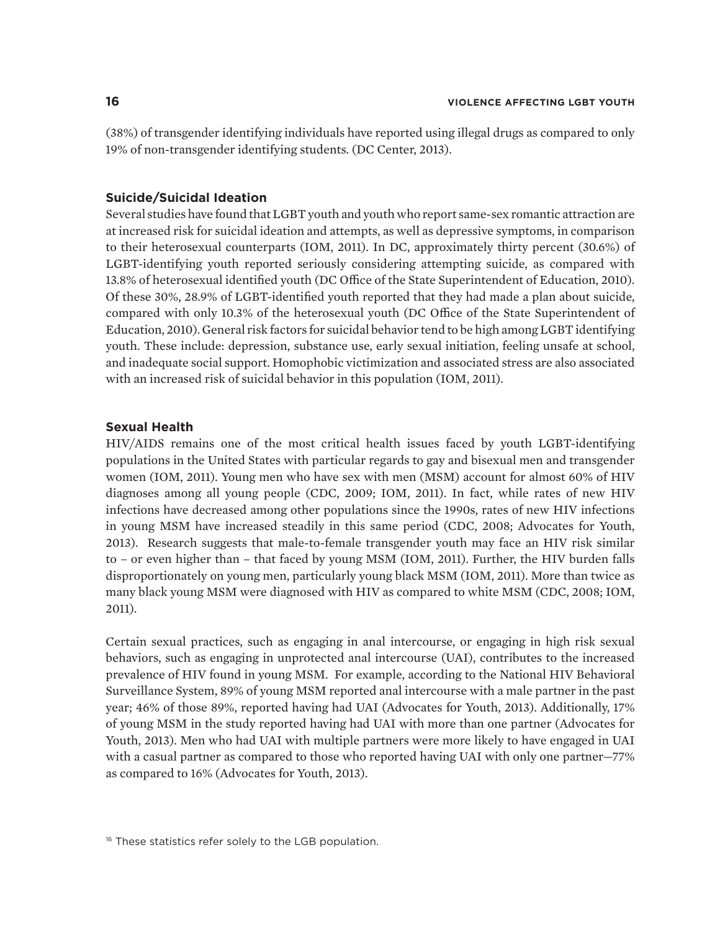(38%) of transgender identifying individuals have reported using illegal drugs as compared to only 19% of non-transgender identifying students. (DC Center, 2013).

#### **Suicide/Suicidal Ideation**

Several studies have found that LGBT youth and youth who report same-sex romantic attraction are at increased risk for suicidal ideation and attempts, as well as depressive symptoms, in comparison to their heterosexual counterparts (IOM, 2011). In DC, approximately thirty percent (30.6%) of LGBT-identifying youth reported seriously considering attempting suicide, as compared with 13.8% of heterosexual identified youth (DC Office of the State Superintendent of Education, 2010). Of these 30%, 28.9% of LGBT-identified youth reported that they had made a plan about suicide, compared with only 10.3% of the heterosexual youth (DC Office of the State Superintendent of Education, 2010). General risk factors for suicidal behavior tend to be high among LGBT identifying youth. These include: depression, substance use, early sexual initiation, feeling unsafe at school, and inadequate social support. Homophobic victimization and associated stress are also associated with an increased risk of suicidal behavior in this population (IOM, 2011).

#### **Sexual Health**

HIV/AIDS remains one of the most critical health issues faced by youth LGBT-identifying populations in the United States with particular regards to gay and bisexual men and transgender women (IOM, 2011). Young men who have sex with men (MSM) account for almost 60% of HIV diagnoses among all young people (CDC, 2009; IOM, 2011). In fact, while rates of new HIV infections have decreased among other populations since the 1990s, rates of new HIV infections in young MSM have increased steadily in this same period (CDC, 2008; Advocates for Youth, 2013). Research suggests that male-to-female transgender youth may face an HIV risk similar to – or even higher than – that faced by young MSM (IOM, 2011). Further, the HIV burden falls disproportionately on young men, particularly young black MSM (IOM, 2011). More than twice as many black young MSM were diagnosed with HIV as compared to white MSM (CDC, 2008; IOM, 2011).

Certain sexual practices, such as engaging in anal intercourse, or engaging in high risk sexual behaviors, such as engaging in unprotected anal intercourse (UAI), contributes to the increased prevalence of HIV found in young MSM. For example, according to the National HIV Behavioral Surveillance System, 89% of young MSM reported anal intercourse with a male partner in the past year; 46% of those 89%, reported having had UAI (Advocates for Youth, 2013). Additionally, 17% of young MSM in the study reported having had UAI with more than one partner (Advocates for Youth, 2013). Men who had UAI with multiple partners were more likely to have engaged in UAI with a casual partner as compared to those who reported having UAI with only one partner—77% as compared to 16% (Advocates for Youth, 2013).

<sup>&</sup>lt;sup>16</sup> These statistics refer solely to the LGB population.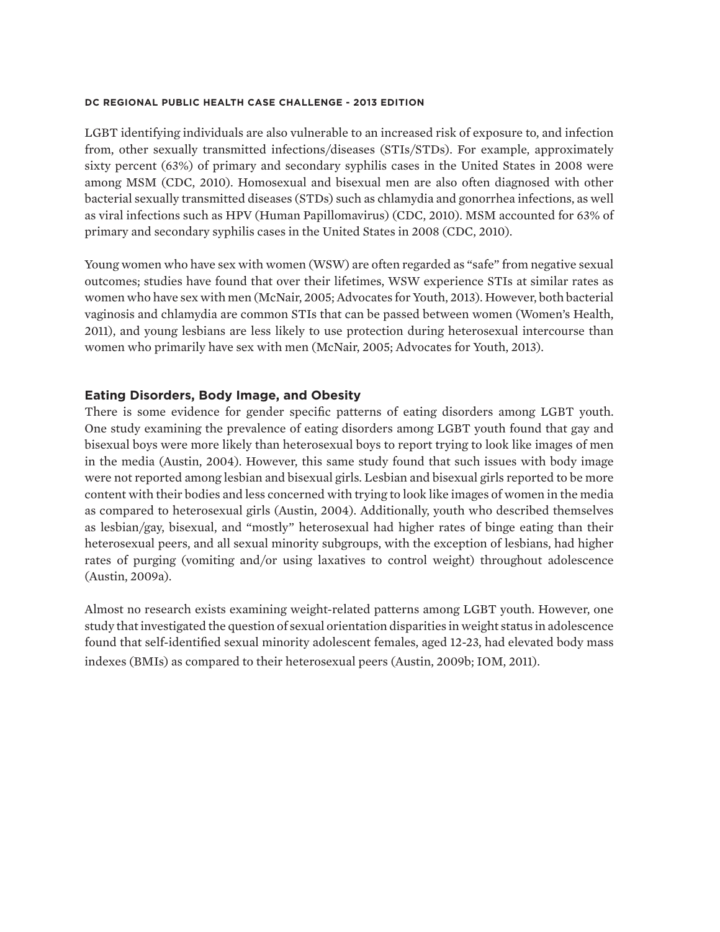LGBT identifying individuals are also vulnerable to an increased risk of exposure to, and infection from, other sexually transmitted infections/diseases (STIs/STDs). For example, approximately sixty percent (63%) of primary and secondary syphilis cases in the United States in 2008 were among MSM (CDC, 2010). Homosexual and bisexual men are also often diagnosed with other bacterial sexually transmitted diseases (STDs) such as chlamydia and gonorrhea infections, as well as viral infections such as HPV (Human Papillomavirus) (CDC, 2010). MSM accounted for 63% of primary and secondary syphilis cases in the United States in 2008 (CDC, 2010).

Young women who have sex with women (WSW) are often regarded as "safe" from negative sexual outcomes; studies have found that over their lifetimes, WSW experience STIs at similar rates as women who have sex with men (McNair, 2005; Advocates for Youth, 2013). However, both bacterial vaginosis and chlamydia are common STIs that can be passed between women (Women's Health, 2011), and young lesbians are less likely to use protection during heterosexual intercourse than women who primarily have sex with men (McNair, 2005; Advocates for Youth, 2013).

### **Eating Disorders, Body Image, and Obesity**

There is some evidence for gender specific patterns of eating disorders among LGBT youth. One study examining the prevalence of eating disorders among LGBT youth found that gay and bisexual boys were more likely than heterosexual boys to report trying to look like images of men in the media (Austin, 2004). However, this same study found that such issues with body image were not reported among lesbian and bisexual girls. Lesbian and bisexual girls reported to be more content with their bodies and less concerned with trying to look like images of women in the media as compared to heterosexual girls (Austin, 2004). Additionally, youth who described themselves as lesbian/gay, bisexual, and "mostly" heterosexual had higher rates of binge eating than their heterosexual peers, and all sexual minority subgroups, with the exception of lesbians, had higher rates of purging (vomiting and/or using laxatives to control weight) throughout adolescence (Austin, 2009a).

Almost no research exists examining weight-related patterns among LGBT youth. However, one study that investigated the question of sexual orientation disparities in weight status in adolescence found that self-identified sexual minority adolescent females, aged 12-23, had elevated body mass indexes (BMIs) as compared to their heterosexual peers (Austin, 2009b; IOM, 2011).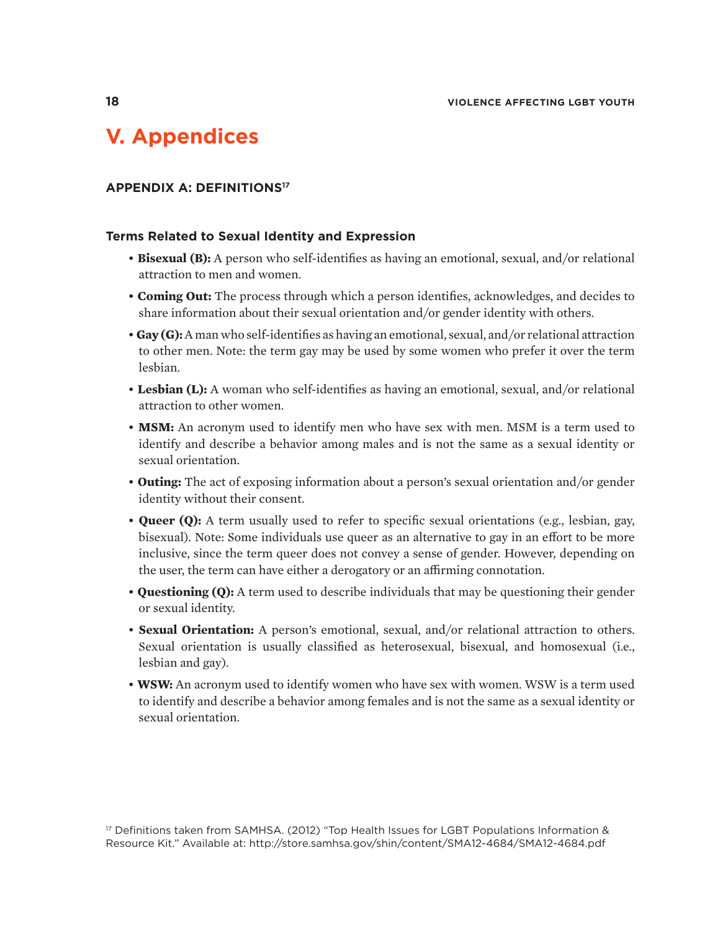## **V. Appendices**

#### **APPENDIX A: DEFINITIONS17**

#### **Terms Related to Sexual Identity and Expression**

- **Bisexual (B):** A person who self-identifies as having an emotional, sexual, and/or relational attraction to men and women.
- **Coming Out:** The process through which a person identifies, acknowledges, and decides to share information about their sexual orientation and/or gender identity with others.
- **Gay (G):** A man who self-identifies as having an emotional, sexual, and/or relational attraction to other men. Note: the term gay may be used by some women who prefer it over the term lesbian.
- **Lesbian (L):** A woman who self-identifies as having an emotional, sexual, and/or relational attraction to other women.
- **MSM:** An acronym used to identify men who have sex with men. MSM is a term used to identify and describe a behavior among males and is not the same as a sexual identity or sexual orientation.
- **Outing:** The act of exposing information about a person's sexual orientation and/or gender identity without their consent.
- **Queer (Q):** A term usually used to refer to specific sexual orientations (e.g., lesbian, gay, bisexual). Note: Some individuals use queer as an alternative to gay in an effort to be more inclusive, since the term queer does not convey a sense of gender. However, depending on the user, the term can have either a derogatory or an affirming connotation.
- **Questioning (Q):** A term used to describe individuals that may be questioning their gender or sexual identity.
- **Sexual Orientation:** A person's emotional, sexual, and/or relational attraction to others. Sexual orientation is usually classified as heterosexual, bisexual, and homosexual (i.e., lesbian and gay).
- **WSW:** An acronym used to identify women who have sex with women. WSW is a term used to identify and describe a behavior among females and is not the same as a sexual identity or sexual orientation.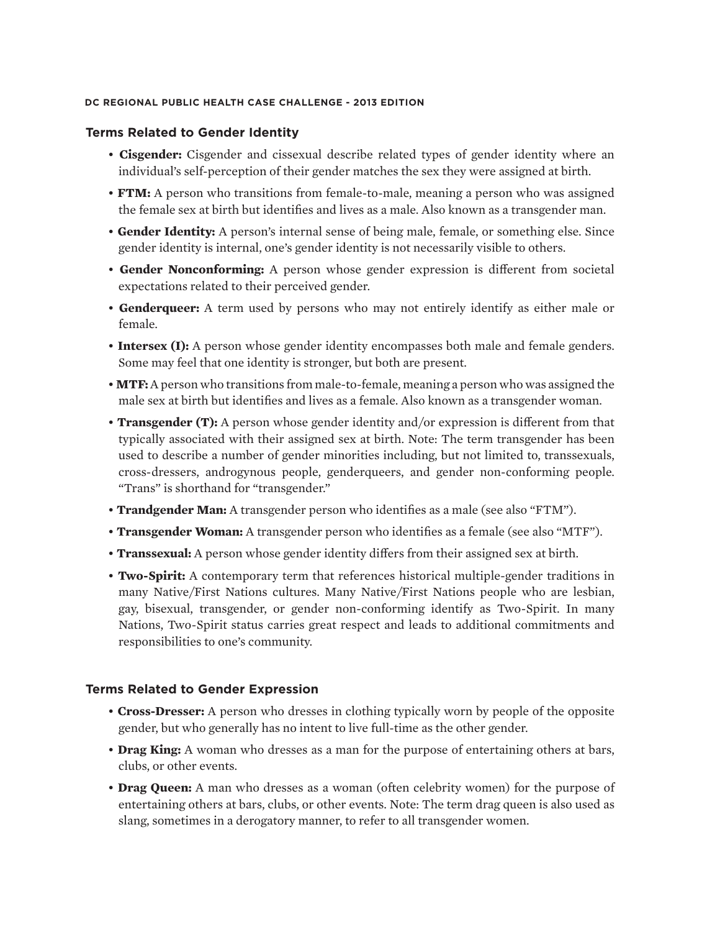#### **Terms Related to Gender Identity**

- **Cisgender:** Cisgender and cissexual describe related types of gender identity where an individual's self-perception of their gender matches the sex they were assigned at birth.
- **FTM:** A person who transitions from female-to-male, meaning a person who was assigned the female sex at birth but identifies and lives as a male. Also known as a transgender man.
- **Gender Identity:** A person's internal sense of being male, female, or something else. Since gender identity is internal, one's gender identity is not necessarily visible to others.
- **Gender Nonconforming:** A person whose gender expression is different from societal expectations related to their perceived gender.
- **Genderqueer:** A term used by persons who may not entirely identify as either male or female.
- **Intersex (I):** A person whose gender identity encompasses both male and female genders. Some may feel that one identity is stronger, but both are present.
- **MTF:** A person who transitions from male-to-female, meaning a person who was assigned the male sex at birth but identifies and lives as a female. Also known as a transgender woman.
- **Transgender (T):** A person whose gender identity and/or expression is different from that typically associated with their assigned sex at birth. Note: The term transgender has been used to describe a number of gender minorities including, but not limited to, transsexuals, cross-dressers, androgynous people, genderqueers, and gender non-conforming people. "Trans" is shorthand for "transgender."
- **Trandgender Man:** A transgender person who identifies as a male (see also "FTM").
- **Transgender Woman:** A transgender person who identifies as a female (see also "MTF").
- **Transsexual:** A person whose gender identity differs from their assigned sex at birth.
- **Two-Spirit:** A contemporary term that references historical multiple-gender traditions in many Native/First Nations cultures. Many Native/First Nations people who are lesbian, gay, bisexual, transgender, or gender non-conforming identify as Two-Spirit. In many Nations, Two-Spirit status carries great respect and leads to additional commitments and responsibilities to one's community.

#### **Terms Related to Gender Expression**

- **Cross-Dresser:** A person who dresses in clothing typically worn by people of the opposite gender, but who generally has no intent to live full-time as the other gender.
- **Drag King:** A woman who dresses as a man for the purpose of entertaining others at bars, clubs, or other events.
- • **Drag Queen:** A man who dresses as a woman (often celebrity women) for the purpose of entertaining others at bars, clubs, or other events. Note: The term drag queen is also used as slang, sometimes in a derogatory manner, to refer to all transgender women.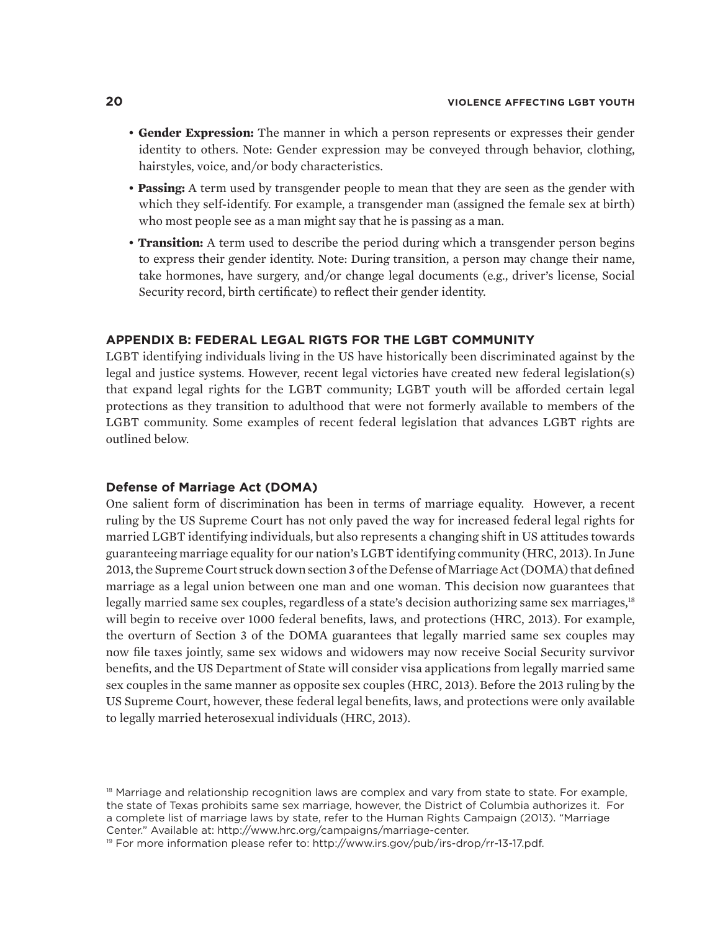- **Gender Expression:** The manner in which a person represents or expresses their gender identity to others. Note: Gender expression may be conveyed through behavior, clothing, hairstyles, voice, and/or body characteristics.
- **Passing:** A term used by transgender people to mean that they are seen as the gender with which they self-identify. For example, a transgender man (assigned the female sex at birth) who most people see as a man might say that he is passing as a man.
- • **Transition:** A term used to describe the period during which a transgender person begins to express their gender identity. Note: During transition, a person may change their name, take hormones, have surgery, and/or change legal documents (e.g., driver's license, Social Security record, birth certificate) to reflect their gender identity.

#### **APPENDIX B: FEDERAL LEGAL RIGTS FOR THE LGBT COMMUNITY**

LGBT identifying individuals living in the US have historically been discriminated against by the legal and justice systems. However, recent legal victories have created new federal legislation(s) that expand legal rights for the LGBT community; LGBT youth will be afforded certain legal protections as they transition to adulthood that were not formerly available to members of the LGBT community. Some examples of recent federal legislation that advances LGBT rights are outlined below.

#### **Defense of Marriage Act (DOMA)**

One salient form of discrimination has been in terms of marriage equality. However, a recent ruling by the US Supreme Court has not only paved the way for increased federal legal rights for married LGBT identifying individuals, but also represents a changing shift in US attitudes towards guaranteeing marriage equality for our nation's LGBT identifying community (HRC, 2013). In June 2013, the Supreme Court struck down section 3 of the Defense of Marriage Act (DOMA) that defined marriage as a legal union between one man and one woman. This decision now guarantees that legally married same sex couples, regardless of a state's decision authorizing same sex marriages,<sup>18</sup> will begin to receive over 1000 federal benefits, laws, and protections (HRC, 2013). For example, the overturn of Section 3 of the DOMA guarantees that legally married same sex couples may now file taxes jointly, same sex widows and widowers may now receive Social Security survivor benefits, and the US Department of State will consider visa applications from legally married same sex couples in the same manner as opposite sex couples (HRC, 2013). Before the 2013 ruling by the US Supreme Court, however, these federal legal benefits, laws, and protections were only available to legally married heterosexual individuals (HRC, 2013).

<sup>&</sup>lt;sup>18</sup> Marriage and relationship recognition laws are complex and vary from state to state. For example, the state of Texas prohibits same sex marriage, however, the District of Columbia authorizes it. For a complete list of marriage laws by state, refer to the Human Rights Campaign (2013). "Marriage Center." Available at: http://www.hrc.org/campaigns/marriage-center.

<sup>&</sup>lt;sup>19</sup> For more information please refer to: http://www.irs.gov/pub/irs-drop/rr-13-17.pdf.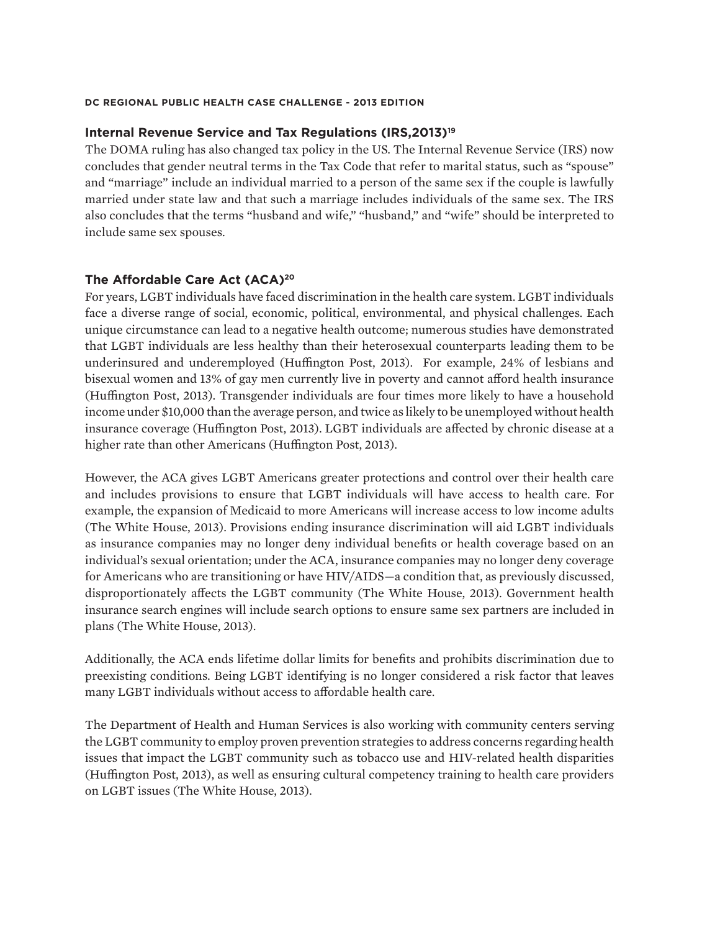#### **Internal Revenue Service and Tax Regulations (IRS,2013)19**

The DOMA ruling has also changed tax policy in the US. The Internal Revenue Service (IRS) now concludes that gender neutral terms in the Tax Code that refer to marital status, such as "spouse" and "marriage" include an individual married to a person of the same sex if the couple is lawfully married under state law and that such a marriage includes individuals of the same sex. The IRS also concludes that the terms "husband and wife," "husband," and "wife" should be interpreted to include same sex spouses.

#### **The Affordable Care Act (ACA)20**

For years, LGBT individuals have faced discrimination in the health care system. LGBT individuals face a diverse range of social, economic, political, environmental, and physical challenges. Each unique circumstance can lead to a negative health outcome; numerous studies have demonstrated that LGBT individuals are less healthy than their heterosexual counterparts leading them to be underinsured and underemployed (Huffington Post, 2013). For example, 24% of lesbians and bisexual women and 13% of gay men currently live in poverty and cannot afford health insurance (Huffington Post, 2013). Transgender individuals are four times more likely to have a household income under \$10,000 than the average person, and twice as likely to be unemployed without health insurance coverage (Huffington Post, 2013). LGBT individuals are affected by chronic disease at a higher rate than other Americans (Huffington Post, 2013).

However, the ACA gives LGBT Americans greater protections and control over their health care and includes provisions to ensure that LGBT individuals will have access to health care. For example, the expansion of Medicaid to more Americans will increase access to low income adults (The White House, 2013). Provisions ending insurance discrimination will aid LGBT individuals as insurance companies may no longer deny individual benefits or health coverage based on an individual's sexual orientation; under the ACA, insurance companies may no longer deny coverage for Americans who are transitioning or have HIV/AIDS—a condition that, as previously discussed, disproportionately affects the LGBT community (The White House, 2013). Government health insurance search engines will include search options to ensure same sex partners are included in plans (The White House, 2013).

Additionally, the ACA ends lifetime dollar limits for benefits and prohibits discrimination due to preexisting conditions. Being LGBT identifying is no longer considered a risk factor that leaves many LGBT individuals without access to affordable health care.

The Department of Health and Human Services is also working with community centers serving the LGBT community to employ proven prevention strategies to address concerns regarding health issues that impact the LGBT community such as tobacco use and HIV-related health disparities (Huffington Post, 2013), as well as ensuring cultural competency training to health care providers on LGBT issues (The White House, 2013).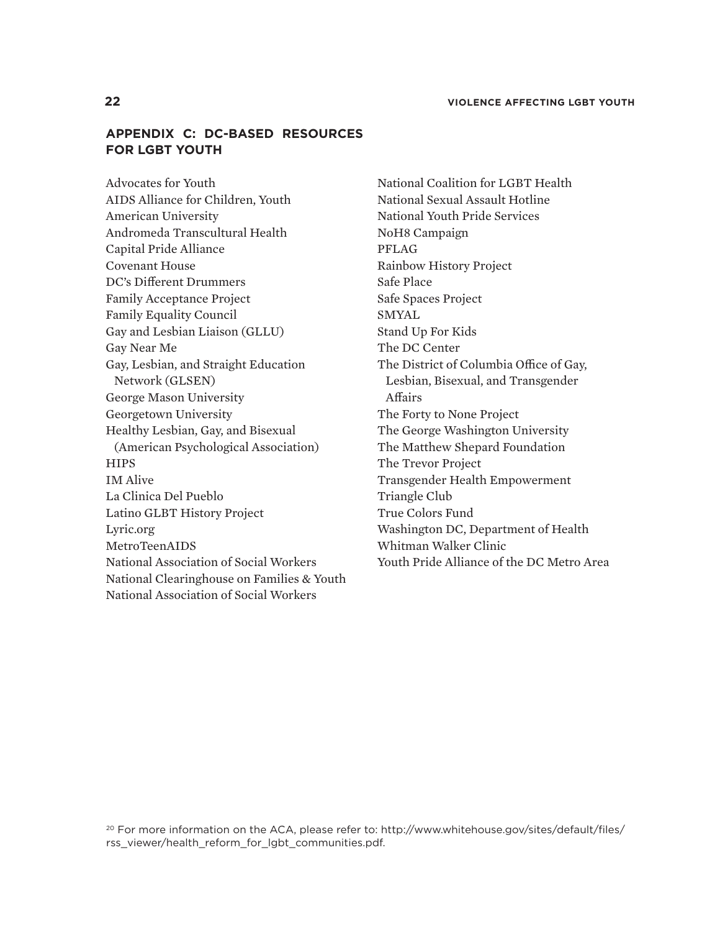### **APPENDIX C: DC-BASED RESOURCES FOR LGBT YOUTH**

Advocates for Youth AIDS Alliance for Children, Youth American University Andromeda Transcultural Health Capital Pride Alliance Covenant House DC's Different Drummers Family Acceptance Project Family Equality Council Gay and Lesbian Liaison (GLLU) Gay Near Me Gay, Lesbian, and Straight Education Network (GLSEN) George Mason University Georgetown University Healthy Lesbian, Gay, and Bisexual (American Psychological Association) **HIPS** IM Alive La Clinica Del Pueblo Latino GLBT History Project Lyric.org MetroTeenAIDS National Association of Social Workers National Clearinghouse on Families & Youth National Association of Social Workers

National Coalition for LGBT Health National Sexual Assault Hotline National Youth Pride Services NoH8 Campaign PFLAG Rainbow History Project Safe Place Safe Spaces Project SMYAL Stand Up For Kids The DC Center The District of Columbia Office of Gay, Lesbian, Bisexual, and Transgender Affairs The Forty to None Project The George Washington University The Matthew Shepard Foundation The Trevor Project Transgender Health Empowerment Triangle Club True Colors Fund Washington DC, Department of Health Whitman Walker Clinic Youth Pride Alliance of the DC Metro Area

<sup>20</sup> For more information on the ACA, please refer to: http://www.whitehouse.gov/sites/default/files/ rss\_viewer/health\_reform\_for\_lgbt\_communities.pdf.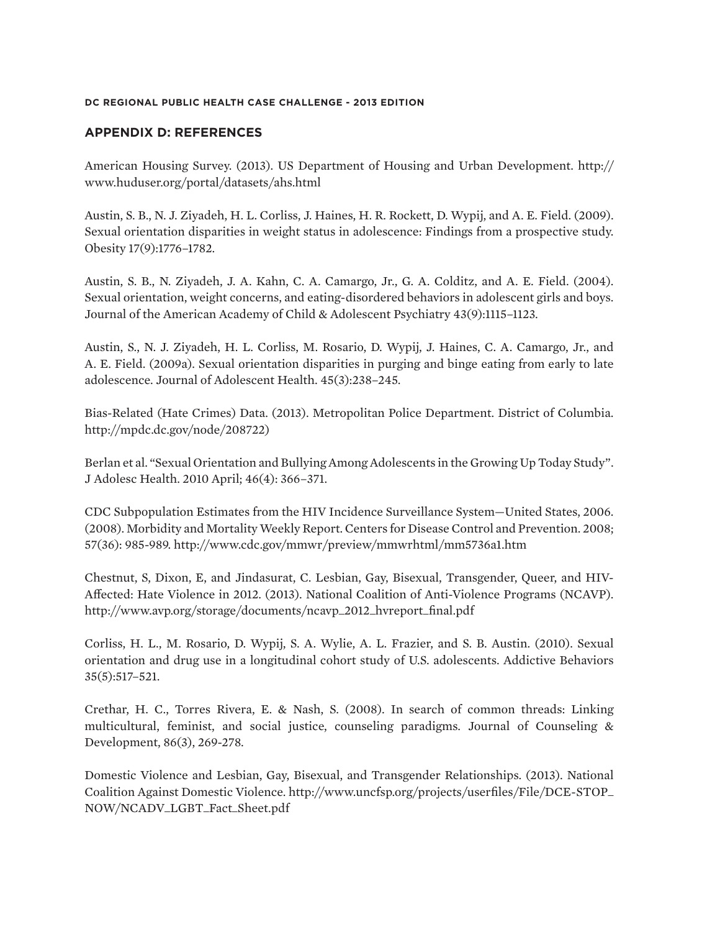### **APPENDIX D: REFERENCES**

American Housing Survey. (2013). US Department of Housing and Urban Development. http:// www.huduser.org/portal/datasets/ahs.html

Austin, S. B., N. J. Ziyadeh, H. L. Corliss, J. Haines, H. R. Rockett, D. Wypij, and A. E. Field. (2009). Sexual orientation disparities in weight status in adolescence: Findings from a prospective study. Obesity 17(9):1776–1782.

Austin, S. B., N. Ziyadeh, J. A. Kahn, C. A. Camargo, Jr., G. A. Colditz, and A. E. Field. (2004). Sexual orientation, weight concerns, and eating-disordered behaviors in adolescent girls and boys. Journal of the American Academy of Child & Adolescent Psychiatry 43(9):1115–1123.

Austin, S., N. J. Ziyadeh, H. L. Corliss, M. Rosario, D. Wypij, J. Haines, C. A. Camargo, Jr., and A. E. Field. (2009a). Sexual orientation disparities in purging and binge eating from early to late adolescence. Journal of Adolescent Health. 45(3):238–245.

Bias-Related (Hate Crimes) Data. (2013). Metropolitan Police Department. District of Columbia. http://mpdc.dc.gov/node/208722)

Berlan et al. "Sexual Orientation and Bullying Among Adolescents in the Growing Up Today Study". J Adolesc Health. 2010 April; 46(4): 366–371.

CDC Subpopulation Estimates from the HIV Incidence Surveillance System—United States, 2006. (2008). Morbidity and Mortality Weekly Report. Centers for Disease Control and Prevention. 2008; 57(36): 985-989. http://www.cdc.gov/mmwr/preview/mmwrhtml/mm5736a1.htm

Chestnut, S, Dixon, E, and Jindasurat, C. Lesbian, Gay, Bisexual, Transgender, Queer, and HIV-Affected: Hate Violence in 2012. (2013). National Coalition of Anti-Violence Programs (NCAVP). http://www.avp.org/storage/documents/ncavp\_2012\_hvreport\_final.pdf

Corliss, H. L., M. Rosario, D. Wypij, S. A. Wylie, A. L. Frazier, and S. B. Austin. (2010). Sexual orientation and drug use in a longitudinal cohort study of U.S. adolescents. Addictive Behaviors 35(5):517–521.

Crethar, H. C., Torres Rivera, E. & Nash, S. (2008). In search of common threads: Linking multicultural, feminist, and social justice, counseling paradigms. Journal of Counseling & Development, 86(3), 269-278.

Domestic Violence and Lesbian, Gay, Bisexual, and Transgender Relationships. (2013). National Coalition Against Domestic Violence. http://www.uncfsp.org/projects/userfiles/File/DCE-STOP\_ NOW/NCADV\_LGBT\_Fact\_Sheet.pdf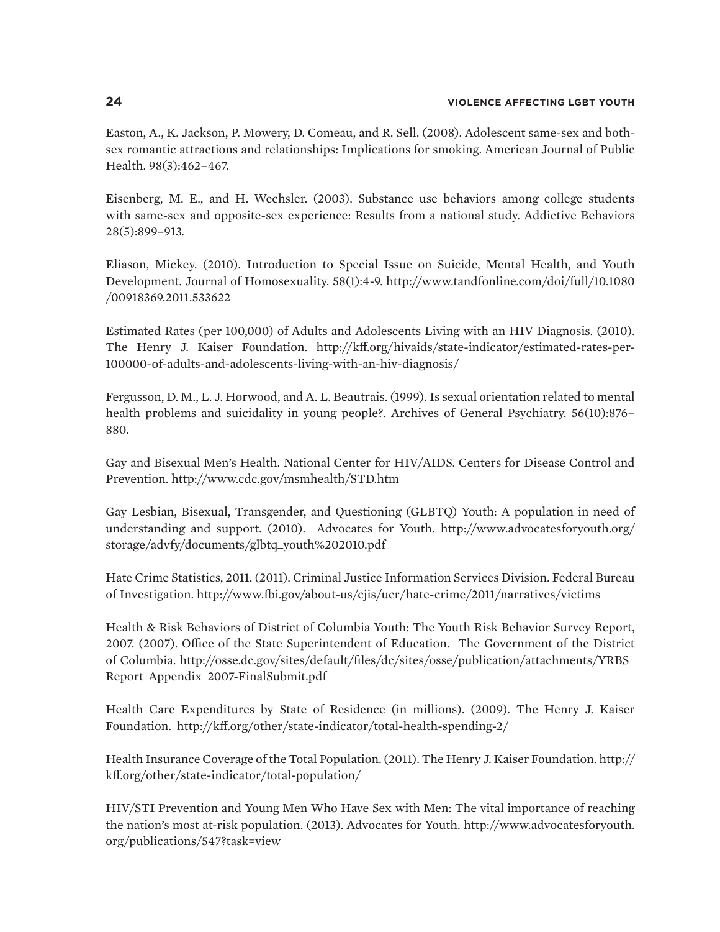Easton, A., K. Jackson, P. Mowery, D. Comeau, and R. Sell. (2008). Adolescent same-sex and bothsex romantic attractions and relationships: Implications for smoking. American Journal of Public Health. 98(3):462–467.

Eisenberg, M. E., and H. Wechsler. (2003). Substance use behaviors among college students with same-sex and opposite-sex experience: Results from a national study. Addictive Behaviors 28(5):899–913.

Eliason, Mickey. (2010). Introduction to Special Issue on Suicide, Mental Health, and Youth Development. Journal of Homosexuality. 58(1):4-9. http://www.tandfonline.com/doi/full/10.1080 /00918369.2011.533622

Estimated Rates (per 100,000) of Adults and Adolescents Living with an HIV Diagnosis. (2010). The Henry J. Kaiser Foundation. http://kff.org/hivaids/state-indicator/estimated-rates-per-100000-of-adults-and-adolescents-living-with-an-hiv-diagnosis/

Fergusson, D. M., L. J. Horwood, and A. L. Beautrais. (1999). Is sexual orientation related to mental health problems and suicidality in young people?. Archives of General Psychiatry. 56(10):876– 880.

Gay and Bisexual Men's Health. National Center for HIV/AIDS. Centers for Disease Control and Prevention. http://www.cdc.gov/msmhealth/STD.htm

Gay Lesbian, Bisexual, Transgender, and Questioning (GLBTQ) Youth: A population in need of understanding and support. (2010). Advocates for Youth. http://www.advocatesforyouth.org/ storage/advfy/documents/glbtq\_youth%202010.pdf

Hate Crime Statistics, 2011. (2011). Criminal Justice Information Services Division. Federal Bureau of Investigation. http://www.fbi.gov/about-us/cjis/ucr/hate-crime/2011/narratives/victims

Health & Risk Behaviors of District of Columbia Youth: The Youth Risk Behavior Survey Report, 2007. (2007). Office of the State Superintendent of Education. The Government of the District of Columbia. http://osse.dc.gov/sites/default/files/dc/sites/osse/publication/attachments/YRBS\_ Report\_Appendix\_2007-FinalSubmit.pdf

Health Care Expenditures by State of Residence (in millions). (2009). The Henry J. Kaiser Foundation. http://kff.org/other/state-indicator/total-health-spending-2/

Health Insurance Coverage of the Total Population. (2011). The Henry J. Kaiser Foundation. http:// kff.org/other/state-indicator/total-population/

HIV/STI Prevention and Young Men Who Have Sex with Men: The vital importance of reaching the nation's most at-risk population. (2013). Advocates for Youth. http://www.advocatesforyouth. org/publications/547?task=view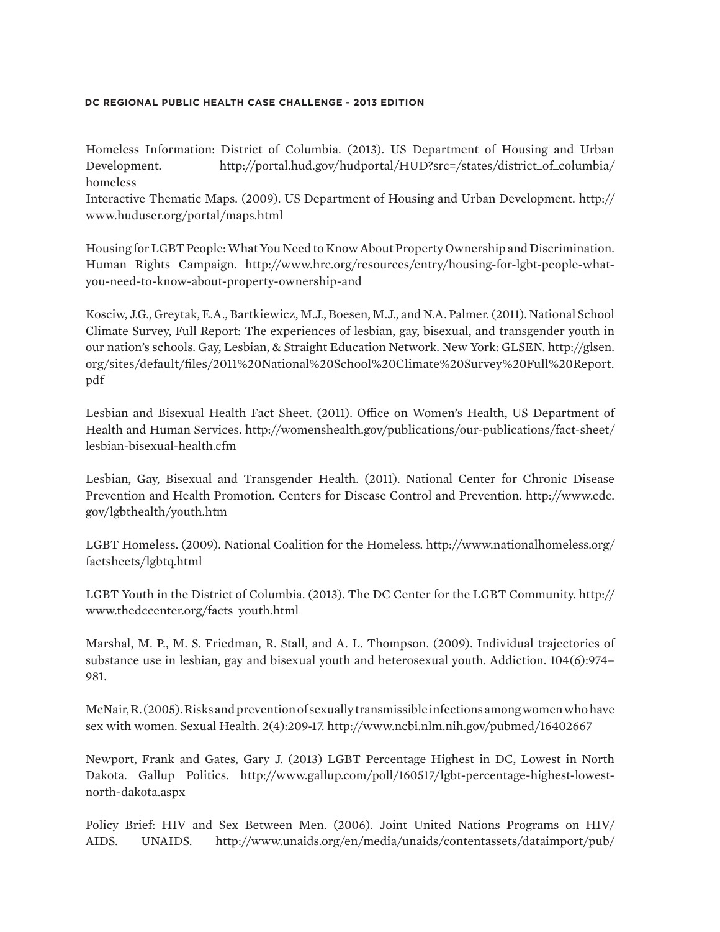Homeless Information: District of Columbia. (2013). US Department of Housing and Urban Development. http://portal.hud.gov/hudportal/HUD?src=/states/district\_of\_columbia/ homeless

Interactive Thematic Maps. (2009). US Department of Housing and Urban Development. http:// www.huduser.org/portal/maps.html

Housing for LGBT People: What You Need to Know About Property Ownership and Discrimination. Human Rights Campaign. http://www.hrc.org/resources/entry/housing-for-lgbt-people-whatyou-need-to-know-about-property-ownership-and

Kosciw, J.G., Greytak, E.A., Bartkiewicz, M.J., Boesen, M.J., and N.A. Palmer. (2011). National School Climate Survey, Full Report: The experiences of lesbian, gay, bisexual, and transgender youth in our nation's schools. Gay, Lesbian, & Straight Education Network. New York: GLSEN. http://glsen. org/sites/default/files/2011%20National%20School%20Climate%20Survey%20Full%20Report. pdf

Lesbian and Bisexual Health Fact Sheet. (2011). Office on Women's Health, US Department of Health and Human Services. http://womenshealth.gov/publications/our-publications/fact-sheet/ lesbian-bisexual-health.cfm

Lesbian, Gay, Bisexual and Transgender Health. (2011). National Center for Chronic Disease Prevention and Health Promotion. Centers for Disease Control and Prevention. http://www.cdc. gov/lgbthealth/youth.htm

LGBT Homeless. (2009). National Coalition for the Homeless. http://www.nationalhomeless.org/ factsheets/lgbtq.html

LGBT Youth in the District of Columbia. (2013). The DC Center for the LGBT Community. http:// www.thedccenter.org/facts\_youth.html

Marshal, M. P., M. S. Friedman, R. Stall, and A. L. Thompson. (2009). Individual trajectories of substance use in lesbian, gay and bisexual youth and heterosexual youth. Addiction. 104(6):974– 981.

McNair, R. (2005). Risks and prevention of sexually transmissible infections among women who have sex with women. Sexual Health. 2(4):209-17. http://www.ncbi.nlm.nih.gov/pubmed/16402667

Newport, Frank and Gates, Gary J. (2013) LGBT Percentage Highest in DC, Lowest in North Dakota. Gallup Politics. http://www.gallup.com/poll/160517/lgbt-percentage-highest-lowestnorth-dakota.aspx

Policy Brief: HIV and Sex Between Men. (2006). Joint United Nations Programs on HIV/ AIDS. UNAIDS. http://www.unaids.org/en/media/unaids/contentassets/dataimport/pub/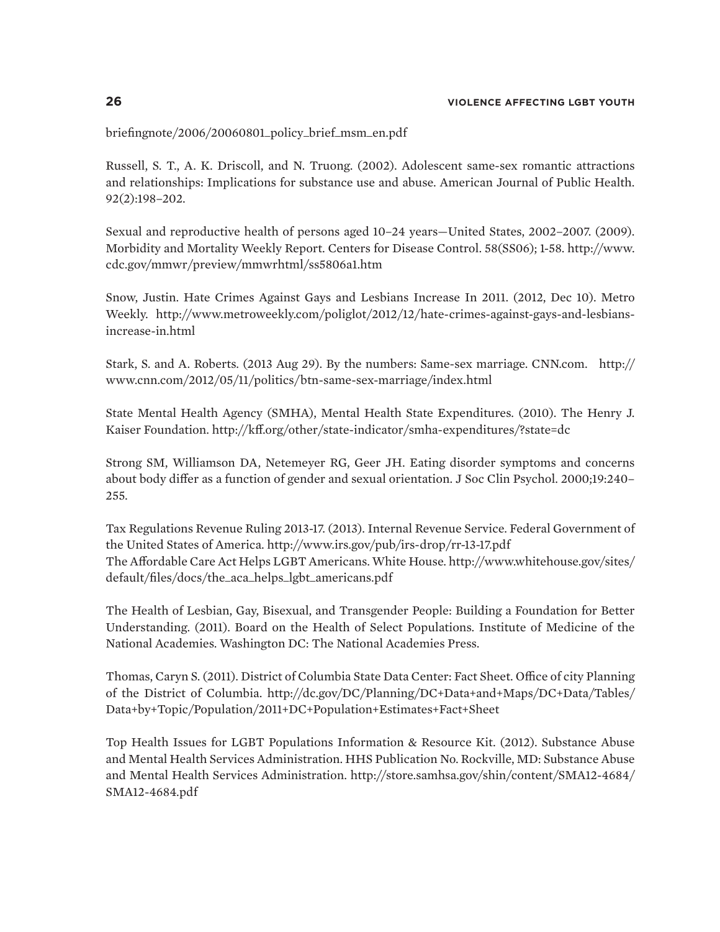briefingnote/2006/20060801\_policy\_brief\_msm\_en.pdf

Russell, S. T., A. K. Driscoll, and N. Truong. (2002). Adolescent same-sex romantic attractions and relationships: Implications for substance use and abuse. American Journal of Public Health. 92(2):198–202.

Sexual and reproductive health of persons aged 10–24 years—United States, 2002–2007. (2009). Morbidity and Mortality Weekly Report. Centers for Disease Control. 58(SS06); 1-58. http://www. cdc.gov/mmwr/preview/mmwrhtml/ss5806a1.htm

Snow, Justin. Hate Crimes Against Gays and Lesbians Increase In 2011. (2012, Dec 10). Metro Weekly. http://www.metroweekly.com/poliglot/2012/12/hate-crimes-against-gays-and-lesbiansincrease-in.html

Stark, S. and A. Roberts. (2013 Aug 29). By the numbers: Same-sex marriage. CNN.com. http:// www.cnn.com/2012/05/11/politics/btn-same-sex-marriage/index.html

State Mental Health Agency (SMHA), Mental Health State Expenditures. (2010). The Henry J. Kaiser Foundation. http://kff.org/other/state-indicator/smha-expenditures/?state=dc

Strong SM, Williamson DA, Netemeyer RG, Geer JH. Eating disorder symptoms and concerns about body differ as a function of gender and sexual orientation. J Soc Clin Psychol. 2000;19:240– 255.

Tax Regulations Revenue Ruling 2013-17. (2013). Internal Revenue Service. Federal Government of the United States of America. http://www.irs.gov/pub/irs-drop/rr-13-17.pdf The Affordable Care Act Helps LGBT Americans. White House. http://www.whitehouse.gov/sites/ default/files/docs/the\_aca\_helps\_lgbt\_americans.pdf

The Health of Lesbian, Gay, Bisexual, and Transgender People: Building a Foundation for Better Understanding. (2011). Board on the Health of Select Populations. Institute of Medicine of the National Academies. Washington DC: The National Academies Press.

Thomas, Caryn S. (2011). District of Columbia State Data Center: Fact Sheet. Office of city Planning of the District of Columbia. http://dc.gov/DC/Planning/DC+Data+and+Maps/DC+Data/Tables/ Data+by+Topic/Population/2011+DC+Population+Estimates+Fact+Sheet

Top Health Issues for LGBT Populations Information & Resource Kit. (2012). Substance Abuse and Mental Health Services Administration. HHS Publication No. Rockville, MD: Substance Abuse and Mental Health Services Administration. http://store.samhsa.gov/shin/content/SMA12-4684/ SMA12-4684.pdf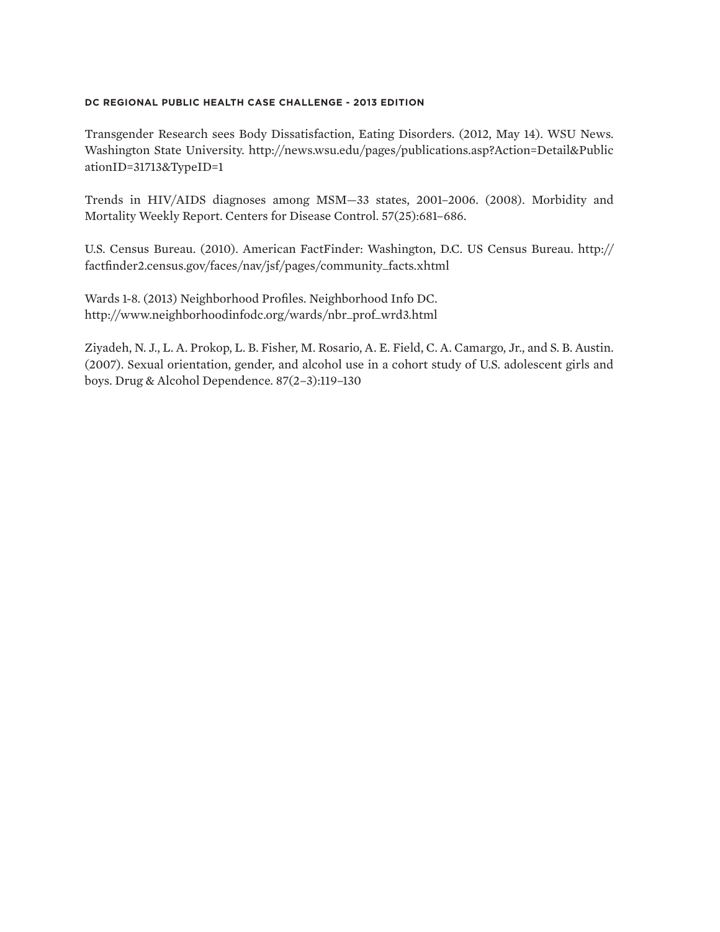Transgender Research sees Body Dissatisfaction, Eating Disorders. (2012, May 14). WSU News. Washington State University. http://news.wsu.edu/pages/publications.asp?Action=Detail&Public ationID=31713&TypeID=1

Trends in HIV/AIDS diagnoses among MSM—33 states, 2001–2006. (2008). Morbidity and Mortality Weekly Report. Centers for Disease Control. 57(25):681–686.

U.S. Census Bureau. (2010). American FactFinder: Washington, D.C. US Census Bureau. http:// factfinder2.census.gov/faces/nav/jsf/pages/community\_facts.xhtml

Wards 1-8. (2013) Neighborhood Profiles. Neighborhood Info DC. http://www.neighborhoodinfodc.org/wards/nbr\_prof\_wrd3.html

Ziyadeh, N. J., L. A. Prokop, L. B. Fisher, M. Rosario, A. E. Field, C. A. Camargo, Jr., and S. B. Austin. (2007). Sexual orientation, gender, and alcohol use in a cohort study of U.S. adolescent girls and boys. Drug & Alcohol Dependence. 87(2–3):119–130